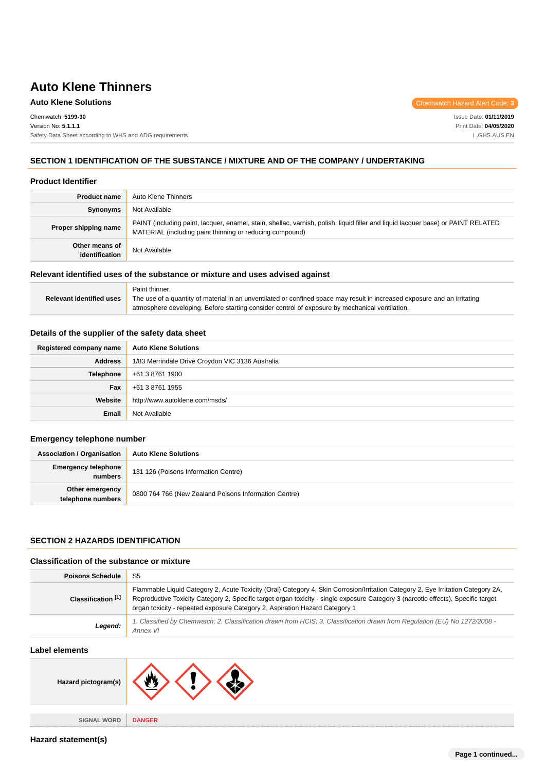**Auto Klene Solutions** Chemwatch Hazard Alert Code: **3** 

Chemwatch: **5199-30** Version No: **5.1.1.1** Safety Data Sheet according to WHS and ADG requirements Issue Date: **01/11/2019** Print Date: **04/05/2020** L.GHS.AUS.EN

### **SECTION 1 IDENTIFICATION OF THE SUBSTANCE / MIXTURE AND OF THE COMPANY / UNDERTAKING**

#### **Product Identifier**

| <b>Product name</b>              | Auto Klene Thinners                                                                                                                                                                           |  |  |
|----------------------------------|-----------------------------------------------------------------------------------------------------------------------------------------------------------------------------------------------|--|--|
| Synonyms                         | Not Available                                                                                                                                                                                 |  |  |
| Proper shipping name             | PAINT (including paint, lacquer, enamel, stain, shellac, varnish, polish, liquid filler and liquid lacquer base) or PAINT RELATED<br>MATERIAL (including paint thinning or reducing compound) |  |  |
| Other means of<br>identification | Not Available                                                                                                                                                                                 |  |  |

### **Relevant identified uses of the substance or mixture and uses advised against**

|                                 | Paint thinner.                                                                                                            |
|---------------------------------|---------------------------------------------------------------------------------------------------------------------------|
| <b>Relevant identified uses</b> | The use of a quantity of material in an unventilated or confined space may result in increased exposure and an irritating |
|                                 | atmosphere developing. Before starting consider control of exposure by mechanical ventilation.                            |

### **Details of the supplier of the safety data sheet**

| Registered company name | <b>Auto Klene Solutions</b>                      |  |
|-------------------------|--------------------------------------------------|--|
| <b>Address</b>          | 1/83 Merrindale Drive Croydon VIC 3136 Australia |  |
| Telephone               | +61 3 8761 1900                                  |  |
| Fax                     | +61 3 8761 1955                                  |  |
| Website                 | http://www.autoklene.com/msds/                   |  |
| Email                   | Not Available                                    |  |

#### **Emergency telephone number**

| <b>Association / Organisation</b>     | <b>Auto Klene Solutions</b>                           |  |
|---------------------------------------|-------------------------------------------------------|--|
| <b>Emergency telephone</b><br>numbers | 131 126 (Poisons Information Centre)                  |  |
| Other emergency<br>telephone numbers  | 0800 764 766 (New Zealand Poisons Information Centre) |  |

### **SECTION 2 HAZARDS IDENTIFICATION**

#### **Classification of the substance or mixture**

| <b>Poisons Schedule</b>       | S5                                                                                                                                                                                                                                                                                                                                                   |  |  |
|-------------------------------|------------------------------------------------------------------------------------------------------------------------------------------------------------------------------------------------------------------------------------------------------------------------------------------------------------------------------------------------------|--|--|
| Classification <sup>[1]</sup> | Flammable Liquid Category 2, Acute Toxicity (Oral) Category 4, Skin Corrosion/Irritation Category 2, Eye Irritation Category 2A,<br>Reproductive Toxicity Category 2, Specific target organ toxicity - single exposure Category 3 (narcotic effects), Specific target<br>organ toxicity - repeated exposure Category 2, Aspiration Hazard Category 1 |  |  |
| Legend:                       | 1. Classified by Chemwatch; 2. Classification drawn from HCIS; 3. Classification drawn from Regulation (EU) No 1272/2008 -<br>Annex VI                                                                                                                                                                                                               |  |  |

#### **Label elements**

| ___________________    |               |
|------------------------|---------------|
| Hazard pictogram(s)    |               |
|                        |               |
| <b>SIGNAL WORD</b><br> | <b>DANGER</b> |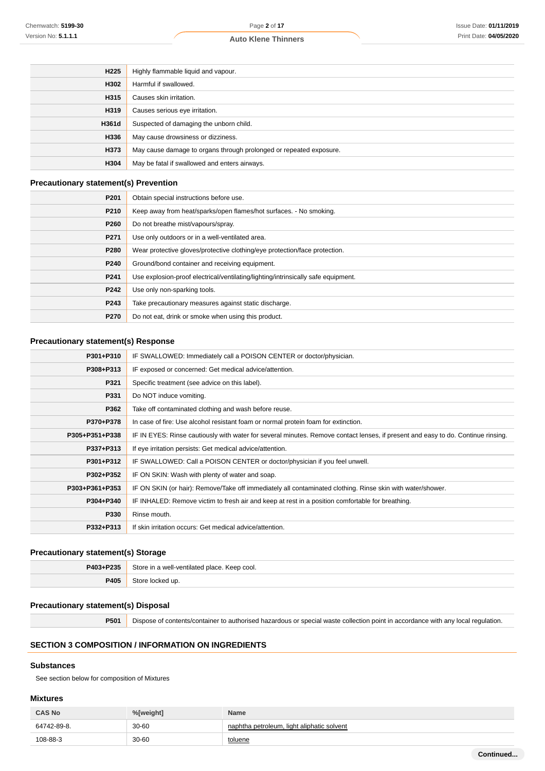| H <sub>225</sub> | Highly flammable liquid and vapour.                                |  |
|------------------|--------------------------------------------------------------------|--|
| H302             | Harmful if swallowed.                                              |  |
| H315             | Causes skin irritation.                                            |  |
| H319             | Causes serious eye irritation.                                     |  |
| H361d            | Suspected of damaging the unborn child.                            |  |
| H336             | May cause drowsiness or dizziness.                                 |  |
| H373             | May cause damage to organs through prolonged or repeated exposure. |  |
| H304             | May be fatal if swallowed and enters airways.                      |  |

### **Precautionary statement(s) Prevention**

| P201 | Obtain special instructions before use.                                           |  |
|------|-----------------------------------------------------------------------------------|--|
| P210 | Keep away from heat/sparks/open flames/hot surfaces. - No smoking.                |  |
| P260 | Do not breathe mist/vapours/spray.                                                |  |
| P271 | Use only outdoors or in a well-ventilated area.                                   |  |
| P280 | Wear protective gloves/protective clothing/eye protection/face protection.        |  |
| P240 | Ground/bond container and receiving equipment.                                    |  |
| P241 | Use explosion-proof electrical/ventilating/lighting/intrinsically safe equipment. |  |
| P242 | Use only non-sparking tools.                                                      |  |
| P243 | Take precautionary measures against static discharge.                             |  |
| P270 | Do not eat, drink or smoke when using this product.                               |  |

### **Precautionary statement(s) Response**

| P301+P310      | IF SWALLOWED: Immediately call a POISON CENTER or doctor/physician.                                                              |  |  |  |
|----------------|----------------------------------------------------------------------------------------------------------------------------------|--|--|--|
| P308+P313      | IF exposed or concerned: Get medical advice/attention.                                                                           |  |  |  |
| P321           | Specific treatment (see advice on this label).                                                                                   |  |  |  |
| P331           | Do NOT induce vomiting.                                                                                                          |  |  |  |
| P362           | Take off contaminated clothing and wash before reuse.                                                                            |  |  |  |
| P370+P378      | In case of fire: Use alcohol resistant foam or normal protein foam for extinction.                                               |  |  |  |
| P305+P351+P338 | IF IN EYES: Rinse cautiously with water for several minutes. Remove contact lenses, if present and easy to do. Continue rinsing. |  |  |  |
| P337+P313      | If eye irritation persists: Get medical advice/attention.                                                                        |  |  |  |
| P301+P312      | IF SWALLOWED: Call a POISON CENTER or doctor/physician if you feel unwell.                                                       |  |  |  |
| P302+P352      | IF ON SKIN: Wash with plenty of water and soap.                                                                                  |  |  |  |
| P303+P361+P353 | IF ON SKIN (or hair): Remove/Take off immediately all contaminated clothing. Rinse skin with water/shower.                       |  |  |  |
| P304+P340      | IF INHALED: Remove victim to fresh air and keep at rest in a position comfortable for breathing.                                 |  |  |  |
| P330           | Rinse mouth.                                                                                                                     |  |  |  |
| P332+P313      | If skin irritation occurs: Get medical advice/attention.                                                                         |  |  |  |

### **Precautionary statement(s) Storage**

| P403+P235 | Store in a well-ventilated place. Keep cool. |  |
|-----------|----------------------------------------------|--|
| P405      | locked up.                                   |  |

### **Precautionary statement(s) Disposal**

**P501** Dispose of contents/container to authorised hazardous or special waste collection point in accordance with any local regulation.

### **SECTION 3 COMPOSITION / INFORMATION ON INGREDIENTS**

## **Substances**

See section below for composition of Mixtures

### **Mixtures**

| <b>CAS No</b> | %[weight] | <b>Name</b>                                |
|---------------|-----------|--------------------------------------------|
| 64742-89-8.   | $30 - 60$ | naphtha petroleum, light aliphatic solvent |
| 108-88-3      | 30-60     | toluene                                    |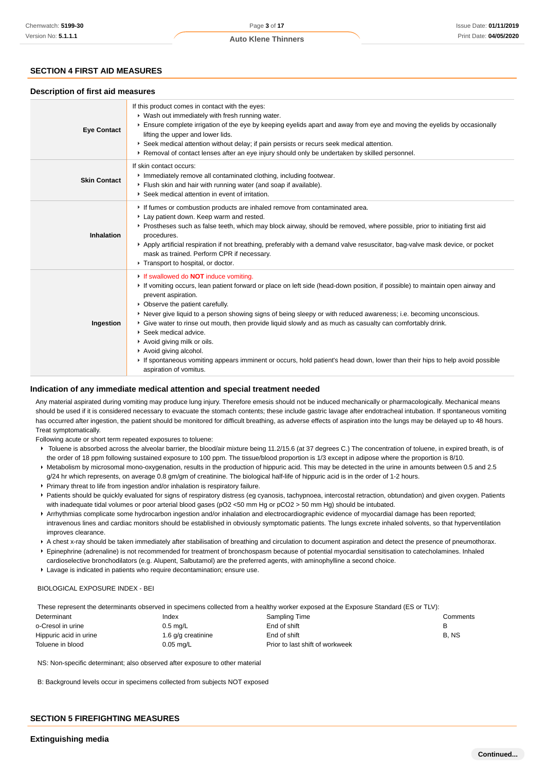## **SECTION 4 FIRST AID MEASURES**

### **Description of first aid measures**

| <b>Eye Contact</b>  | If this product comes in contact with the eyes:<br>▶ Wash out immediately with fresh running water.<br>Ensure complete irrigation of the eye by keeping eyelids apart and away from eye and moving the eyelids by occasionally<br>lifting the upper and lower lids.<br>▶ Seek medical attention without delay; if pain persists or recurs seek medical attention.<br>▶ Removal of contact lenses after an eye injury should only be undertaken by skilled personnel.                                                                                                                                                                                                                                                 |  |  |  |  |
|---------------------|----------------------------------------------------------------------------------------------------------------------------------------------------------------------------------------------------------------------------------------------------------------------------------------------------------------------------------------------------------------------------------------------------------------------------------------------------------------------------------------------------------------------------------------------------------------------------------------------------------------------------------------------------------------------------------------------------------------------|--|--|--|--|
| <b>Skin Contact</b> | If skin contact occurs:<br>Inmediately remove all contaminated clothing, including footwear.<br>Flush skin and hair with running water (and soap if available).<br>▶ Seek medical attention in event of irritation.                                                                                                                                                                                                                                                                                                                                                                                                                                                                                                  |  |  |  |  |
| <b>Inhalation</b>   | If fumes or combustion products are inhaled remove from contaminated area.<br>Lay patient down. Keep warm and rested.<br>▶ Prostheses such as false teeth, which may block airway, should be removed, where possible, prior to initiating first aid<br>procedures.<br>Apply artificial respiration if not breathing, preferably with a demand valve resuscitator, bag-valve mask device, or pocket<br>mask as trained. Perform CPR if necessary.<br>Transport to hospital, or doctor.                                                                                                                                                                                                                                |  |  |  |  |
| Ingestion           | If swallowed do <b>NOT</b> induce vomiting.<br>If vomiting occurs, lean patient forward or place on left side (head-down position, if possible) to maintain open airway and<br>prevent aspiration.<br>• Observe the patient carefully.<br>▶ Never give liquid to a person showing signs of being sleepy or with reduced awareness; i.e. becoming unconscious.<br>► Give water to rinse out mouth, then provide liquid slowly and as much as casualty can comfortably drink.<br>▶ Seek medical advice.<br>Avoid giving milk or oils.<br>Avoid giving alcohol.<br>If spontaneous vomiting appears imminent or occurs, hold patient's head down, lower than their hips to help avoid possible<br>aspiration of vomitus. |  |  |  |  |

### **Indication of any immediate medical attention and special treatment needed**

Any material aspirated during vomiting may produce lung injury. Therefore emesis should not be induced mechanically or pharmacologically. Mechanical means should be used if it is considered necessary to evacuate the stomach contents; these include gastric lavage after endotracheal intubation. If spontaneous vomiting has occurred after ingestion, the patient should be monitored for difficult breathing, as adverse effects of aspiration into the lungs may be delayed up to 48 hours. Treat symptomatically.

Following acute or short term repeated exposures to toluene:

- ▶ Toluene is absorbed across the alveolar barrier, the blood/air mixture being 11.2/15.6 (at 37 degrees C.) The concentration of toluene, in expired breath, is of the order of 18 ppm following sustained exposure to 100 ppm. The tissue/blood proportion is 1/3 except in adipose where the proportion is 8/10.
- Metabolism by microsomal mono-oxygenation, results in the production of hippuric acid. This may be detected in the urine in amounts between 0.5 and 2.5 g/24 hr which represents, on average 0.8 gm/gm of creatinine. The biological half-life of hippuric acid is in the order of 1-2 hours.
- Primary threat to life from ingestion and/or inhalation is respiratory failure.
- Patients should be quickly evaluated for signs of respiratory distress (eg cyanosis, tachypnoea, intercostal retraction, obtundation) and given oxygen. Patients with inadequate tidal volumes or poor arterial blood gases (pO2 <50 mm Hg or pCO2 > 50 mm Hg) should be intubated.
- Arrhythmias complicate some hydrocarbon ingestion and/or inhalation and electrocardiographic evidence of myocardial damage has been reported; intravenous lines and cardiac monitors should be established in obviously symptomatic patients. The lungs excrete inhaled solvents, so that hyperventilation improves clearance.
- A chest x-ray should be taken immediately after stabilisation of breathing and circulation to document aspiration and detect the presence of pneumothorax. Epinephrine (adrenaline) is not recommended for treatment of bronchospasm because of potential myocardial sensitisation to catecholamines. Inhaled
- cardioselective bronchodilators (e.g. Alupent, Salbutamol) are the preferred agents, with aminophylline a second choice.
- **Lavage is indicated in patients who require decontamination; ensure use.**

#### BIOLOGICAL EXPOSURE INDEX - BEI

These represent the determinants observed in specimens collected from a healthy worker exposed at the Exposure Standard (ES or TLV):

| Determinant            | Index              | Sampling Time                   | Comments |
|------------------------|--------------------|---------------------------------|----------|
| o-Cresol in urine      | $0.5$ mg/L         | End of shift                    |          |
| Hippuric acid in urine | 1.6 g/g creatinine | End of shift                    | B. NS    |
| Toluene in blood       | 0.05 mg/L          | Prior to last shift of workweek |          |

NS: Non-specific determinant; also observed after exposure to other material

B: Background levels occur in specimens collected from subjects NOT exposed

### **SECTION 5 FIREFIGHTING MEASURES**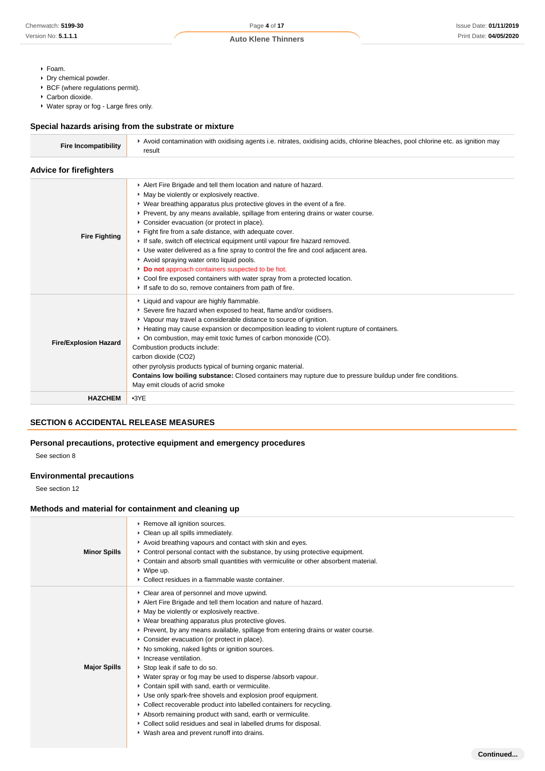- Foam.
- Dry chemical powder.
- $\blacktriangleright$  BCF (where regulations permit).
- Carbon dioxide.
- Water spray or fog Large fires only.

### **Special hazards arising from the substrate or mixture**

| <b>Fire Incompatibility</b> | Avoid contamination with oxidising agents i.e. nitrates, oxidising acids, chlorine bleaches, pool chlorine etc. as ignition may |
|-----------------------------|---------------------------------------------------------------------------------------------------------------------------------|
|                             |                                                                                                                                 |

### **Advice for firefighters**

|                              | Alert Fire Brigade and tell them location and nature of hazard.                                              |
|------------------------------|--------------------------------------------------------------------------------------------------------------|
|                              | • May be violently or explosively reactive.                                                                  |
|                              | ▶ Wear breathing apparatus plus protective gloves in the event of a fire.                                    |
|                              | ▶ Prevent, by any means available, spillage from entering drains or water course.                            |
|                              | • Consider evacuation (or protect in place).                                                                 |
|                              | Fight fire from a safe distance, with adequate cover.                                                        |
| <b>Fire Fighting</b>         | If safe, switch off electrical equipment until vapour fire hazard removed.                                   |
|                              | ► Use water delivered as a fine spray to control the fire and cool adjacent area.                            |
|                              | Avoid spraying water onto liquid pools.                                                                      |
|                              | Do not approach containers suspected to be hot.                                                              |
|                              | ► Cool fire exposed containers with water spray from a protected location.                                   |
|                              | If safe to do so, remove containers from path of fire.                                                       |
|                              | Liquid and vapour are highly flammable.                                                                      |
|                              | Severe fire hazard when exposed to heat, flame and/or oxidisers.                                             |
|                              | ▶ Vapour may travel a considerable distance to source of ignition.                                           |
|                              | ► Heating may cause expansion or decomposition leading to violent rupture of containers.                     |
|                              | • On combustion, may emit toxic fumes of carbon monoxide (CO).                                               |
| <b>Fire/Explosion Hazard</b> | Combustion products include:                                                                                 |
|                              | carbon dioxide (CO2)                                                                                         |
|                              | other pyrolysis products typical of burning organic material.                                                |
|                              | Contains low boiling substance: Closed containers may rupture due to pressure buildup under fire conditions. |
|                              | May emit clouds of acrid smoke                                                                               |
| <b>HAZCHEM</b>               | $-3YE$                                                                                                       |
|                              |                                                                                                              |

### **SECTION 6 ACCIDENTAL RELEASE MEASURES**

### **Personal precautions, protective equipment and emergency procedures**

See section 8

### **Environmental precautions**

See section 12

### **Methods and material for containment and cleaning up**

| <b>Minor Spills</b> | Remove all ignition sources.<br>• Clean up all spills immediately.<br>Avoid breathing vapours and contact with skin and eyes.<br>► Control personal contact with the substance, by using protective equipment.<br>▶ Contain and absorb small quantities with vermiculite or other absorbent material.<br>$\triangleright$ Wipe up.<br>• Collect residues in a flammable waste container.                                                                                                                                                                                                                                                                                                                                                                                                                                                                                                                     |
|---------------------|--------------------------------------------------------------------------------------------------------------------------------------------------------------------------------------------------------------------------------------------------------------------------------------------------------------------------------------------------------------------------------------------------------------------------------------------------------------------------------------------------------------------------------------------------------------------------------------------------------------------------------------------------------------------------------------------------------------------------------------------------------------------------------------------------------------------------------------------------------------------------------------------------------------|
| <b>Major Spills</b> | • Clear area of personnel and move upwind.<br>Alert Fire Brigade and tell them location and nature of hazard.<br>• May be violently or explosively reactive.<br>• Wear breathing apparatus plus protective gloves.<br>► Prevent, by any means available, spillage from entering drains or water course.<br>• Consider evacuation (or protect in place).<br>• No smoking, naked lights or ignition sources.<br>Increase ventilation.<br>Stop leak if safe to do so.<br>• Water spray or fog may be used to disperse /absorb vapour.<br>Contain spill with sand, earth or vermiculite.<br>Use only spark-free shovels and explosion proof equipment.<br>• Collect recoverable product into labelled containers for recycling.<br>Absorb remaining product with sand, earth or vermiculite.<br>• Collect solid residues and seal in labelled drums for disposal.<br>• Wash area and prevent runoff into drains. |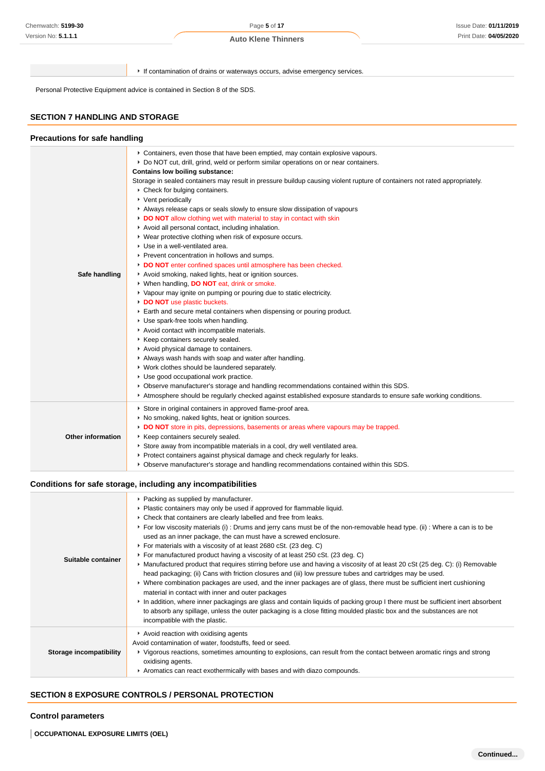If contamination of drains or waterways occurs, advise emergency services.

Personal Protective Equipment advice is contained in Section 8 of the SDS.

### **SECTION 7 HANDLING AND STORAGE**

| <b>Precautions for safe handling</b> |                                                                                                                                                                                                                                                                                                                                                                                                                                                                                                                                                                                                                                                                                                                                                                                                                                                                                                                                                                                                                                                                                                                                                                                                                                                                                                                                                                                                                                                                                                                                                                                                                                                                      |
|--------------------------------------|----------------------------------------------------------------------------------------------------------------------------------------------------------------------------------------------------------------------------------------------------------------------------------------------------------------------------------------------------------------------------------------------------------------------------------------------------------------------------------------------------------------------------------------------------------------------------------------------------------------------------------------------------------------------------------------------------------------------------------------------------------------------------------------------------------------------------------------------------------------------------------------------------------------------------------------------------------------------------------------------------------------------------------------------------------------------------------------------------------------------------------------------------------------------------------------------------------------------------------------------------------------------------------------------------------------------------------------------------------------------------------------------------------------------------------------------------------------------------------------------------------------------------------------------------------------------------------------------------------------------------------------------------------------------|
| Safe handling                        | ▶ Containers, even those that have been emptied, may contain explosive vapours.<br>▶ Do NOT cut, drill, grind, weld or perform similar operations on or near containers.<br><b>Contains low boiling substance:</b><br>Storage in sealed containers may result in pressure buildup causing violent rupture of containers not rated appropriately.<br>▶ Check for bulging containers.<br>▶ Vent periodically<br>Always release caps or seals slowly to ensure slow dissipation of vapours<br>DO NOT allow clothing wet with material to stay in contact with skin<br>Avoid all personal contact, including inhalation.<br>▶ Wear protective clothing when risk of exposure occurs.<br>Use in a well-ventilated area.<br>Prevent concentration in hollows and sumps.<br>DO NOT enter confined spaces until atmosphere has been checked.<br>Avoid smoking, naked lights, heat or ignition sources.<br>▶ When handling, DO NOT eat, drink or smoke.<br>• Vapour may ignite on pumping or pouring due to static electricity.<br>DO NOT use plastic buckets.<br>Earth and secure metal containers when dispensing or pouring product.<br>Use spark-free tools when handling.<br>Avoid contact with incompatible materials.<br>▶ Keep containers securely sealed.<br>Avoid physical damage to containers.<br>Always wash hands with soap and water after handling.<br>• Work clothes should be laundered separately.<br>Use good occupational work practice.<br>▶ Observe manufacturer's storage and handling recommendations contained within this SDS.<br>Atmosphere should be regularly checked against established exposure standards to ensure safe working conditions. |
| <b>Other information</b>             | Store in original containers in approved flame-proof area.<br>No smoking, naked lights, heat or ignition sources.<br>DO NOT store in pits, depressions, basements or areas where vapours may be trapped.<br>Keep containers securely sealed.<br>Store away from incompatible materials in a cool, dry well ventilated area.<br>▶ Protect containers against physical damage and check regularly for leaks.<br>▶ Observe manufacturer's storage and handling recommendations contained within this SDS.                                                                                                                                                                                                                                                                                                                                                                                                                                                                                                                                                                                                                                                                                                                                                                                                                                                                                                                                                                                                                                                                                                                                                               |

### **Conditions for safe storage, including any incompatibilities**

| Suitable container      | • Packing as supplied by manufacturer.<br>• Plastic containers may only be used if approved for flammable liquid.<br>• Check that containers are clearly labelled and free from leaks.<br>► For low viscosity materials (i) : Drums and jerry cans must be of the non-removable head type. (ii) : Where a can is to be<br>used as an inner package, the can must have a screwed enclosure.<br>▶ For materials with a viscosity of at least 2680 cSt. (23 deg. C)<br>► For manufactured product having a viscosity of at least 250 cSt. (23 deg. C)<br>► Manufactured product that requires stirring before use and having a viscosity of at least 20 cSt (25 deg. C): (i) Removable<br>head packaging; (ii) Cans with friction closures and (iii) low pressure tubes and cartridges may be used.<br>▶ Where combination packages are used, and the inner packages are of glass, there must be sufficient inert cushioning<br>material in contact with inner and outer packages<br>In addition, where inner packagings are glass and contain liquids of packing group I there must be sufficient inert absorbent<br>to absorb any spillage, unless the outer packaging is a close fitting moulded plastic box and the substances are not<br>incompatible with the plastic. |
|-------------------------|---------------------------------------------------------------------------------------------------------------------------------------------------------------------------------------------------------------------------------------------------------------------------------------------------------------------------------------------------------------------------------------------------------------------------------------------------------------------------------------------------------------------------------------------------------------------------------------------------------------------------------------------------------------------------------------------------------------------------------------------------------------------------------------------------------------------------------------------------------------------------------------------------------------------------------------------------------------------------------------------------------------------------------------------------------------------------------------------------------------------------------------------------------------------------------------------------------------------------------------------------------------------------|
| Storage incompatibility | Avoid reaction with oxidising agents<br>Avoid contamination of water, foodstuffs, feed or seed.<br>▶ Vigorous reactions, sometimes amounting to explosions, can result from the contact between aromatic rings and strong<br>oxidising agents.<br>Aromatics can react exothermically with bases and with diazo compounds.                                                                                                                                                                                                                                                                                                                                                                                                                                                                                                                                                                                                                                                                                                                                                                                                                                                                                                                                                 |

### **SECTION 8 EXPOSURE CONTROLS / PERSONAL PROTECTION**

### **Control parameters**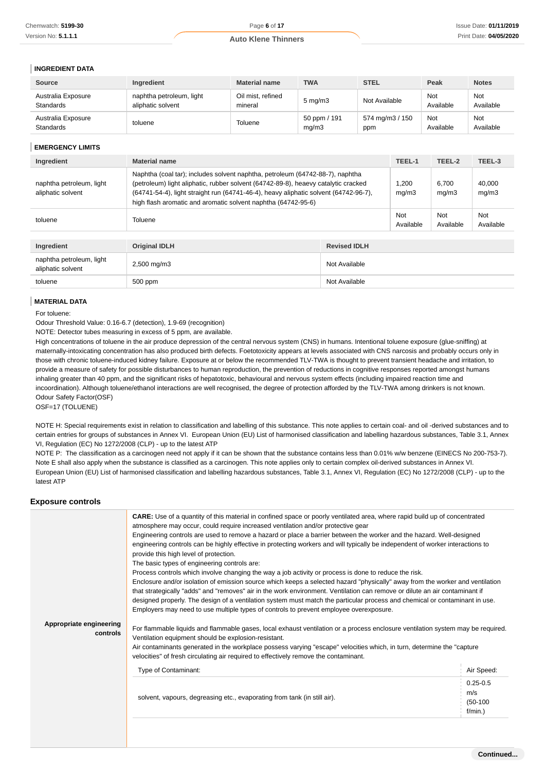### **INGREDIENT DATA**

| <b>Source</b>                          | Ingredient                                    | <b>Material name</b>         | <b>TWA</b>            | <b>STEL</b>            | Peak             | <b>Notes</b>            |
|----------------------------------------|-----------------------------------------------|------------------------------|-----------------------|------------------------|------------------|-------------------------|
| Australia Exposure<br><b>Standards</b> | naphtha petroleum, light<br>aliphatic solvent | Oil mist, refined<br>mineral | $5 \text{ mg/m}$      | Not Available          | Not<br>Available | Not<br>Available        |
| Australia Exposure<br><b>Standards</b> | toluene                                       | Toluene                      | 50 ppm / 191<br>mq/m3 | 574 mg/m3 / 150<br>ppm | Not<br>Available | <b>Not</b><br>Available |

| Ingredient                                    | Material name                                                                                                                                                                                                                                                                                                                |                     | TEEL-1           | TEEL-2           | TEEL-3           |
|-----------------------------------------------|------------------------------------------------------------------------------------------------------------------------------------------------------------------------------------------------------------------------------------------------------------------------------------------------------------------------------|---------------------|------------------|------------------|------------------|
| naphtha petroleum, light<br>aliphatic solvent | Naphtha (coal tar); includes solvent naphtha, petroleum (64742-88-7), naphtha<br>(petroleum) light aliphatic, rubber solvent (64742-89-8), heaevy catalytic cracked<br>(64741-54-4), light straight run (64741-46-4), heavy aliphatic solvent (64742-96-7),<br>high flash aromatic and aromatic solvent naphtha (64742-95-6) |                     | 1.200<br>mq/m3   | 6,700<br>mg/m3   | 40,000<br>mg/m3  |
| toluene                                       | Toluene                                                                                                                                                                                                                                                                                                                      |                     | Not<br>Available | Not<br>Available | Not<br>Available |
|                                               |                                                                                                                                                                                                                                                                                                                              |                     |                  |                  |                  |
| Ingredient                                    | <b>Original IDLH</b>                                                                                                                                                                                                                                                                                                         | <b>Revised IDLH</b> |                  |                  |                  |
| naphtha petroleum, light<br>aliphatic solvent | $2,500 \text{ mg/m}$ 3                                                                                                                                                                                                                                                                                                       | Not Available       |                  |                  |                  |
| toluene                                       | 500 ppm                                                                                                                                                                                                                                                                                                                      | Not Available       |                  |                  |                  |

#### **MATERIAL DATA**

#### **Exposure controls**

| Version No: <b>5.1.1.1</b>                                        |                                                                                                                                                                                                                                                                                                                                                                                                                                                                                                                                                                                                                                                                                                                                                                                                                                                                                                                                                                                                                                                                                                                                                                                                                                                                                                                                                                                                                                                                                                                                                                                                                                                                                                                            |                            |                  |                     |                 |                  |                  | Print Date: 04/05/2 |
|-------------------------------------------------------------------|----------------------------------------------------------------------------------------------------------------------------------------------------------------------------------------------------------------------------------------------------------------------------------------------------------------------------------------------------------------------------------------------------------------------------------------------------------------------------------------------------------------------------------------------------------------------------------------------------------------------------------------------------------------------------------------------------------------------------------------------------------------------------------------------------------------------------------------------------------------------------------------------------------------------------------------------------------------------------------------------------------------------------------------------------------------------------------------------------------------------------------------------------------------------------------------------------------------------------------------------------------------------------------------------------------------------------------------------------------------------------------------------------------------------------------------------------------------------------------------------------------------------------------------------------------------------------------------------------------------------------------------------------------------------------------------------------------------------------|----------------------------|------------------|---------------------|-----------------|------------------|------------------|---------------------|
|                                                                   |                                                                                                                                                                                                                                                                                                                                                                                                                                                                                                                                                                                                                                                                                                                                                                                                                                                                                                                                                                                                                                                                                                                                                                                                                                                                                                                                                                                                                                                                                                                                                                                                                                                                                                                            | <b>Auto Klene Thinners</b> |                  |                     |                 |                  |                  |                     |
| <b>INGREDIENT DATA</b>                                            |                                                                                                                                                                                                                                                                                                                                                                                                                                                                                                                                                                                                                                                                                                                                                                                                                                                                                                                                                                                                                                                                                                                                                                                                                                                                                                                                                                                                                                                                                                                                                                                                                                                                                                                            |                            |                  |                     |                 |                  |                  |                     |
| <b>Source</b>                                                     | Ingredient                                                                                                                                                                                                                                                                                                                                                                                                                                                                                                                                                                                                                                                                                                                                                                                                                                                                                                                                                                                                                                                                                                                                                                                                                                                                                                                                                                                                                                                                                                                                                                                                                                                                                                                 | <b>Material name</b>       | <b>TWA</b>       |                     | <b>STEL</b>     |                  | Peak             | <b>Notes</b>        |
| Australia Exposure                                                | naphtha petroleum, light                                                                                                                                                                                                                                                                                                                                                                                                                                                                                                                                                                                                                                                                                                                                                                                                                                                                                                                                                                                                                                                                                                                                                                                                                                                                                                                                                                                                                                                                                                                                                                                                                                                                                                   | Oil mist, refined          | $5 \text{ mg/m}$ |                     | Not Available   |                  | Not              | Not                 |
| Standards<br>Australia Exposure                                   | aliphatic solvent                                                                                                                                                                                                                                                                                                                                                                                                                                                                                                                                                                                                                                                                                                                                                                                                                                                                                                                                                                                                                                                                                                                                                                                                                                                                                                                                                                                                                                                                                                                                                                                                                                                                                                          | mineral                    |                  | 50 ppm / 191        | 574 mg/m3 / 150 |                  | Available<br>Not | Available<br>Not    |
| Standards                                                         | toluene                                                                                                                                                                                                                                                                                                                                                                                                                                                                                                                                                                                                                                                                                                                                                                                                                                                                                                                                                                                                                                                                                                                                                                                                                                                                                                                                                                                                                                                                                                                                                                                                                                                                                                                    | Toluene                    | mg/m3            |                     | ppm             |                  | Available        | Available           |
| <b>EMERGENCY LIMITS</b>                                           |                                                                                                                                                                                                                                                                                                                                                                                                                                                                                                                                                                                                                                                                                                                                                                                                                                                                                                                                                                                                                                                                                                                                                                                                                                                                                                                                                                                                                                                                                                                                                                                                                                                                                                                            |                            |                  |                     |                 |                  |                  |                     |
| Ingredient                                                        | <b>Material name</b>                                                                                                                                                                                                                                                                                                                                                                                                                                                                                                                                                                                                                                                                                                                                                                                                                                                                                                                                                                                                                                                                                                                                                                                                                                                                                                                                                                                                                                                                                                                                                                                                                                                                                                       |                            |                  |                     |                 | TEEL-1           | TEEL-2           | TEEL-3              |
| naphtha petroleum, light<br>aliphatic solvent                     | Naphtha (coal tar); includes solvent naphtha, petroleum (64742-88-7), naphtha<br>(petroleum) light aliphatic, rubber solvent (64742-89-8), heaevy catalytic cracked<br>(64741-54-4), light straight run (64741-46-4), heavy aliphatic solvent (64742-96-7),<br>high flash aromatic and aromatic solvent naphtha (64742-95-6)                                                                                                                                                                                                                                                                                                                                                                                                                                                                                                                                                                                                                                                                                                                                                                                                                                                                                                                                                                                                                                                                                                                                                                                                                                                                                                                                                                                               |                            |                  |                     |                 | 1,200<br>mg/m3   | 6,700<br>mg/m3   | 40,000<br>mg/m3     |
| toluene                                                           | Toluene                                                                                                                                                                                                                                                                                                                                                                                                                                                                                                                                                                                                                                                                                                                                                                                                                                                                                                                                                                                                                                                                                                                                                                                                                                                                                                                                                                                                                                                                                                                                                                                                                                                                                                                    |                            |                  |                     |                 | Not<br>Available | Not<br>Available | Not<br>Available    |
| Ingredient                                                        | <b>Original IDLH</b>                                                                                                                                                                                                                                                                                                                                                                                                                                                                                                                                                                                                                                                                                                                                                                                                                                                                                                                                                                                                                                                                                                                                                                                                                                                                                                                                                                                                                                                                                                                                                                                                                                                                                                       |                            |                  | <b>Revised IDLH</b> |                 |                  |                  |                     |
| naphtha petroleum, light<br>aliphatic solvent                     | 2,500 mg/m3                                                                                                                                                                                                                                                                                                                                                                                                                                                                                                                                                                                                                                                                                                                                                                                                                                                                                                                                                                                                                                                                                                                                                                                                                                                                                                                                                                                                                                                                                                                                                                                                                                                                                                                |                            |                  | Not Available       |                 |                  |                  |                     |
| toluene                                                           | 500 ppm                                                                                                                                                                                                                                                                                                                                                                                                                                                                                                                                                                                                                                                                                                                                                                                                                                                                                                                                                                                                                                                                                                                                                                                                                                                                                                                                                                                                                                                                                                                                                                                                                                                                                                                    |                            |                  | Not Available       |                 |                  |                  |                     |
| NOTE: Detector tubes measuring in excess of 5 ppm, are available. | High concentrations of toluene in the air produce depression of the central nervous system (CNS) in humans. Intentional toluene exposure (glue-sniffing) at                                                                                                                                                                                                                                                                                                                                                                                                                                                                                                                                                                                                                                                                                                                                                                                                                                                                                                                                                                                                                                                                                                                                                                                                                                                                                                                                                                                                                                                                                                                                                                |                            |                  |                     |                 |                  |                  |                     |
| Odour Safety Factor(OSF)<br>OSF=17 (TOLUENE)<br>latest ATP        | maternally-intoxicating concentration has also produced birth defects. Foetotoxicity appears at levels associated with CNS narcosis and probably occurs only in<br>those with chronic toluene-induced kidney failure. Exposure at or below the recommended TLV-TWA is thought to prevent transient headache and irritation, to<br>provide a measure of safety for possible disturbances to human reproduction, the prevention of reductions in cognitive responses reported amongst humans<br>inhaling greater than 40 ppm, and the significant risks of hepatotoxic, behavioural and nervous system effects (including impaired reaction time and<br>incoordination). Although toluene/ethanol interactions are well recognised, the degree of protection afforded by the TLV-TWA among drinkers is not known.<br>NOTE H: Special requirements exist in relation to classification and labelling of this substance. This note applies to certain coal- and oil -derived substances and to<br>certain entries for groups of substances in Annex VI. European Union (EU) List of harmonised classification and labelling hazardous substances, Table 3.1, Annex<br>VI, Regulation (EC) No 1272/2008 (CLP) - up to the latest ATP<br>NOTE P: The classification as a carcinogen need not apply if it can be shown that the substance contains less than 0.01% w/w benzene (EINECS No 200-753-7).<br>Note E shall also apply when the substance is classified as a carcinogen. This note applies only to certain complex oil-derived substances in Annex VI.<br>European Union (EU) List of harmonised classification and labelling hazardous substances, Table 3.1, Annex VI, Regulation (EC) No 1272/2008 (CLP) - up to the |                            |                  |                     |                 |                  |                  |                     |
| <b>Exposure controls</b>                                          | <b>CARE:</b> Use of a quantity of this material in confined space or poorly ventilated area, where rapid build up of concentrated                                                                                                                                                                                                                                                                                                                                                                                                                                                                                                                                                                                                                                                                                                                                                                                                                                                                                                                                                                                                                                                                                                                                                                                                                                                                                                                                                                                                                                                                                                                                                                                          |                            |                  |                     |                 |                  |                  |                     |
| Appropriate engineering<br>controls                               | atmosphere may occur, could require increased ventilation and/or protective gear<br>Engineering controls are used to remove a hazard or place a barrier between the worker and the hazard. Well-designed<br>engineering controls can be highly effective in protecting workers and will typically be independent of worker interactions to<br>provide this high level of protection.<br>The basic types of engineering controls are:<br>Process controls which involve changing the way a job activity or process is done to reduce the risk.<br>Enclosure and/or isolation of emission source which keeps a selected hazard "physically" away from the worker and ventilation<br>that strategically "adds" and "removes" air in the work environment. Ventilation can remove or dilute an air contaminant if<br>designed properly. The design of a ventilation system must match the particular process and chemical or contaminant in use.<br>Employers may need to use multiple types of controls to prevent employee overexposure.<br>For flammable liquids and flammable gases, local exhaust ventilation or a process enclosure ventilation system may be required.<br>Ventilation equipment should be explosion-resistant.<br>Air contaminants generated in the workplace possess varying "escape" velocities which, in turn, determine the "capture<br>velocities" of fresh circulating air required to effectively remove the contaminant.                                                                                                                                                                                                                                                                        |                            |                  |                     |                 |                  |                  |                     |
|                                                                   | Type of Contaminant:                                                                                                                                                                                                                                                                                                                                                                                                                                                                                                                                                                                                                                                                                                                                                                                                                                                                                                                                                                                                                                                                                                                                                                                                                                                                                                                                                                                                                                                                                                                                                                                                                                                                                                       |                            |                  |                     |                 |                  |                  | Air Speed:          |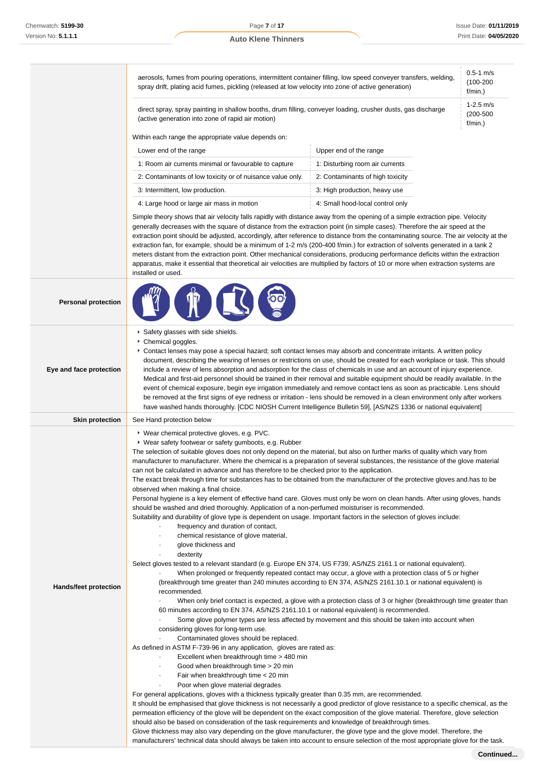|                              | aerosols, fumes from pouring operations, intermittent container filling, low speed conveyer transfers, welding,<br>spray drift, plating acid fumes, pickling (released at low velocity into zone of active generation)                                                                                                                                                                                                                                                                                                                                                                                                                                                                                                                                                                                                                                                                                                                                                                                                                                                                                                                                                                                                                                                                                                                                                                                                                                                                                                                                                                                                                                                                                                                                                                                                                                                                                                                                                                                                                                                                                                                                                                                            |                                                                                                                                                                                                                                                                                                                                                                                                                                                     | $0.5 - 1$ m/s<br>$(100 - 200)$<br>f/min.) |
|------------------------------|-------------------------------------------------------------------------------------------------------------------------------------------------------------------------------------------------------------------------------------------------------------------------------------------------------------------------------------------------------------------------------------------------------------------------------------------------------------------------------------------------------------------------------------------------------------------------------------------------------------------------------------------------------------------------------------------------------------------------------------------------------------------------------------------------------------------------------------------------------------------------------------------------------------------------------------------------------------------------------------------------------------------------------------------------------------------------------------------------------------------------------------------------------------------------------------------------------------------------------------------------------------------------------------------------------------------------------------------------------------------------------------------------------------------------------------------------------------------------------------------------------------------------------------------------------------------------------------------------------------------------------------------------------------------------------------------------------------------------------------------------------------------------------------------------------------------------------------------------------------------------------------------------------------------------------------------------------------------------------------------------------------------------------------------------------------------------------------------------------------------------------------------------------------------------------------------------------------------|-----------------------------------------------------------------------------------------------------------------------------------------------------------------------------------------------------------------------------------------------------------------------------------------------------------------------------------------------------------------------------------------------------------------------------------------------------|-------------------------------------------|
|                              | direct spray, spray painting in shallow booths, drum filling, conveyer loading, crusher dusts, gas discharge<br>(active generation into zone of rapid air motion)                                                                                                                                                                                                                                                                                                                                                                                                                                                                                                                                                                                                                                                                                                                                                                                                                                                                                                                                                                                                                                                                                                                                                                                                                                                                                                                                                                                                                                                                                                                                                                                                                                                                                                                                                                                                                                                                                                                                                                                                                                                 |                                                                                                                                                                                                                                                                                                                                                                                                                                                     | $1 - 2.5$ m/s<br>$(200 - 500)$<br>f/min.) |
|                              | Within each range the appropriate value depends on:                                                                                                                                                                                                                                                                                                                                                                                                                                                                                                                                                                                                                                                                                                                                                                                                                                                                                                                                                                                                                                                                                                                                                                                                                                                                                                                                                                                                                                                                                                                                                                                                                                                                                                                                                                                                                                                                                                                                                                                                                                                                                                                                                               |                                                                                                                                                                                                                                                                                                                                                                                                                                                     |                                           |
|                              | Lower end of the range                                                                                                                                                                                                                                                                                                                                                                                                                                                                                                                                                                                                                                                                                                                                                                                                                                                                                                                                                                                                                                                                                                                                                                                                                                                                                                                                                                                                                                                                                                                                                                                                                                                                                                                                                                                                                                                                                                                                                                                                                                                                                                                                                                                            | Upper end of the range                                                                                                                                                                                                                                                                                                                                                                                                                              |                                           |
|                              | 1: Room air currents minimal or favourable to capture                                                                                                                                                                                                                                                                                                                                                                                                                                                                                                                                                                                                                                                                                                                                                                                                                                                                                                                                                                                                                                                                                                                                                                                                                                                                                                                                                                                                                                                                                                                                                                                                                                                                                                                                                                                                                                                                                                                                                                                                                                                                                                                                                             | 1: Disturbing room air currents                                                                                                                                                                                                                                                                                                                                                                                                                     |                                           |
|                              | 2: Contaminants of low toxicity or of nuisance value only.                                                                                                                                                                                                                                                                                                                                                                                                                                                                                                                                                                                                                                                                                                                                                                                                                                                                                                                                                                                                                                                                                                                                                                                                                                                                                                                                                                                                                                                                                                                                                                                                                                                                                                                                                                                                                                                                                                                                                                                                                                                                                                                                                        | 2: Contaminants of high toxicity                                                                                                                                                                                                                                                                                                                                                                                                                    |                                           |
|                              | 3: Intermittent, low production.                                                                                                                                                                                                                                                                                                                                                                                                                                                                                                                                                                                                                                                                                                                                                                                                                                                                                                                                                                                                                                                                                                                                                                                                                                                                                                                                                                                                                                                                                                                                                                                                                                                                                                                                                                                                                                                                                                                                                                                                                                                                                                                                                                                  | 3: High production, heavy use                                                                                                                                                                                                                                                                                                                                                                                                                       |                                           |
|                              | 4: Large hood or large air mass in motion                                                                                                                                                                                                                                                                                                                                                                                                                                                                                                                                                                                                                                                                                                                                                                                                                                                                                                                                                                                                                                                                                                                                                                                                                                                                                                                                                                                                                                                                                                                                                                                                                                                                                                                                                                                                                                                                                                                                                                                                                                                                                                                                                                         | 4: Small hood-local control only                                                                                                                                                                                                                                                                                                                                                                                                                    |                                           |
|                              | Simple theory shows that air velocity falls rapidly with distance away from the opening of a simple extraction pipe. Velocity<br>generally decreases with the square of distance from the extraction point (in simple cases). Therefore the air speed at the<br>extraction point should be adjusted, accordingly, after reference to distance from the contaminating source. The air velocity at the<br>extraction fan, for example, should be a minimum of 1-2 m/s (200-400 f/min.) for extraction of solvents generated in a tank 2<br>meters distant from the extraction point. Other mechanical considerations, producing performance deficits within the extraction<br>apparatus, make it essential that theoretical air velocities are multiplied by factors of 10 or more when extraction systems are<br>installed or used.                                                                                                                                                                                                                                                                                                                                                                                                                                                                                                                                                                                                                                                                                                                                                                                                                                                                                                                                                                                                                                                                                                                                                                                                                                                                                                                                                                                |                                                                                                                                                                                                                                                                                                                                                                                                                                                     |                                           |
| <b>Personal protection</b>   |                                                                                                                                                                                                                                                                                                                                                                                                                                                                                                                                                                                                                                                                                                                                                                                                                                                                                                                                                                                                                                                                                                                                                                                                                                                                                                                                                                                                                                                                                                                                                                                                                                                                                                                                                                                                                                                                                                                                                                                                                                                                                                                                                                                                                   |                                                                                                                                                                                                                                                                                                                                                                                                                                                     |                                           |
| Eye and face protection      | Safety glasses with side shields.<br>Chemical goggles.<br>Contact lenses may pose a special hazard; soft contact lenses may absorb and concentrate irritants. A written policy<br>document, describing the wearing of lenses or restrictions on use, should be created for each workplace or task. This should<br>include a review of lens absorption and adsorption for the class of chemicals in use and an account of injury experience.<br>Medical and first-aid personnel should be trained in their removal and suitable equipment should be readily available. In the<br>event of chemical exposure, begin eye irrigation immediately and remove contact lens as soon as practicable. Lens should<br>be removed at the first signs of eye redness or irritation - lens should be removed in a clean environment only after workers<br>have washed hands thoroughly. [CDC NIOSH Current Intelligence Bulletin 59], [AS/NZS 1336 or national equivalent]                                                                                                                                                                                                                                                                                                                                                                                                                                                                                                                                                                                                                                                                                                                                                                                                                                                                                                                                                                                                                                                                                                                                                                                                                                                     |                                                                                                                                                                                                                                                                                                                                                                                                                                                     |                                           |
| <b>Skin protection</b>       | See Hand protection below                                                                                                                                                                                                                                                                                                                                                                                                                                                                                                                                                                                                                                                                                                                                                                                                                                                                                                                                                                                                                                                                                                                                                                                                                                                                                                                                                                                                                                                                                                                                                                                                                                                                                                                                                                                                                                                                                                                                                                                                                                                                                                                                                                                         |                                                                                                                                                                                                                                                                                                                                                                                                                                                     |                                           |
| <b>Hands/feet protection</b> | ▶ Wear chemical protective gloves, e.g. PVC.<br>▶ Wear safety footwear or safety gumboots, e.g. Rubber<br>The selection of suitable gloves does not only depend on the material, but also on further marks of quality which vary from<br>manufacturer to manufacturer. Where the chemical is a preparation of several substances, the resistance of the glove material<br>can not be calculated in advance and has therefore to be checked prior to the application.<br>The exact break through time for substances has to be obtained from the manufacturer of the protective gloves and has to be<br>observed when making a final choice.<br>Personal hygiene is a key element of effective hand care. Gloves must only be worn on clean hands. After using gloves, hands<br>should be washed and dried thoroughly. Application of a non-perfumed moisturiser is recommended.<br>Suitability and durability of glove type is dependent on usage. Important factors in the selection of gloves include:<br>frequency and duration of contact,<br>chemical resistance of glove material,<br>$\bullet$<br>glove thickness and<br>dexterity<br>Select gloves tested to a relevant standard (e.g. Europe EN 374, US F739, AS/NZS 2161.1 or national equivalent).<br>recommended.<br>$\blacksquare$<br>60 minutes according to EN 374, AS/NZS 2161.10.1 or national equivalent) is recommended.<br>considering gloves for long-term use.<br>Contaminated gloves should be replaced.<br>As defined in ASTM F-739-96 in any application, gloves are rated as:<br>Excellent when breakthrough time > 480 min<br>Good when breakthrough time > 20 min<br>Fair when breakthrough time < 20 min<br>Poor when glove material degrades<br>For general applications, gloves with a thickness typically greater than 0.35 mm, are recommended.<br>It should be emphasised that glove thickness is not necessarily a good predictor of glove resistance to a specific chemical, as the<br>permeation efficiency of the glove will be dependent on the exact composition of the glove material. Therefore, glove selection<br>should also be based on consideration of the task requirements and knowledge of breakthrough times. | When prolonged or frequently repeated contact may occur, a glove with a protection class of 5 or higher<br>(breakthrough time greater than 240 minutes according to EN 374, AS/NZS 2161.10.1 or national equivalent) is<br>When only brief contact is expected, a glove with a protection class of 3 or higher (breakthrough time greater than<br>Some glove polymer types are less affected by movement and this should be taken into account when |                                           |

Glove thickness may also vary depending on the glove manufacturer, the glove type and the glove model. Therefore, the

manufacturers' technical data should always be taken into account to ensure selection of the most appropriate glove for the task.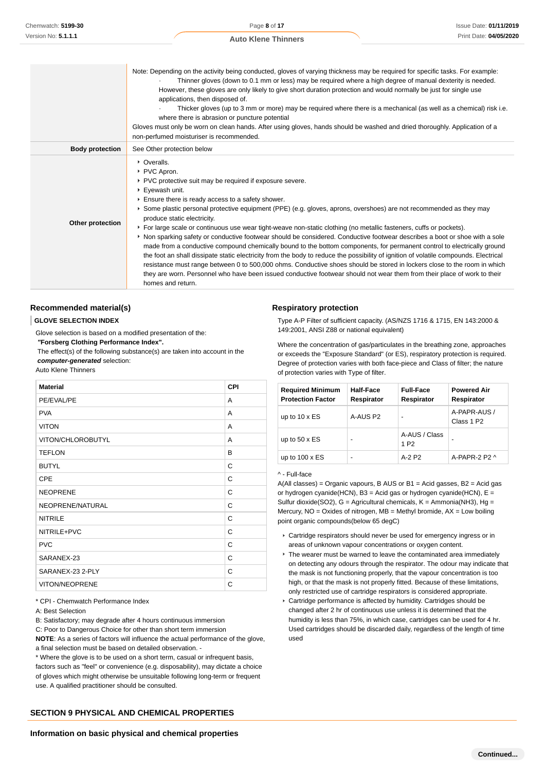|                        | Note: Depending on the activity being conducted, gloves of varying thickness may be required for specific tasks. For example:<br>Thinner gloves (down to 0.1 mm or less) may be required where a high degree of manual dexterity is needed.<br>However, these gloves are only likely to give short duration protection and would normally be just for single use<br>applications, then disposed of.<br>Thicker gloves (up to 3 mm or more) may be required where there is a mechanical (as well as a chemical) risk i.e.<br>where there is abrasion or puncture potential<br>Gloves must only be worn on clean hands. After using gloves, hands should be washed and dried thoroughly. Application of a<br>non-perfumed moisturiser is recommended.                                                                                                                                                                                                                                                                                                                                                                       |
|------------------------|---------------------------------------------------------------------------------------------------------------------------------------------------------------------------------------------------------------------------------------------------------------------------------------------------------------------------------------------------------------------------------------------------------------------------------------------------------------------------------------------------------------------------------------------------------------------------------------------------------------------------------------------------------------------------------------------------------------------------------------------------------------------------------------------------------------------------------------------------------------------------------------------------------------------------------------------------------------------------------------------------------------------------------------------------------------------------------------------------------------------------|
| <b>Body protection</b> | See Other protection below                                                                                                                                                                                                                                                                                                                                                                                                                                                                                                                                                                                                                                                                                                                                                                                                                                                                                                                                                                                                                                                                                                |
| Other protection       | • Overalls.<br>▶ PVC Apron.<br>▶ PVC protective suit may be required if exposure severe.<br>▶ Eyewash unit.<br>Ensure there is ready access to a safety shower.<br>▶ Some plastic personal protective equipment (PPE) (e.g. gloves, aprons, overshoes) are not recommended as they may<br>produce static electricity.<br>For large scale or continuous use wear tight-weave non-static clothing (no metallic fasteners, cuffs or pockets).<br>▶ Non sparking safety or conductive footwear should be considered. Conductive footwear describes a boot or shoe with a sole<br>made from a conductive compound chemically bound to the bottom components, for permanent control to electrically ground<br>the foot an shall dissipate static electricity from the body to reduce the possibility of ignition of volatile compounds. Electrical<br>resistance must range between 0 to 500,000 ohms. Conductive shoes should be stored in lockers close to the room in which<br>they are worn. Personnel who have been issued conductive footwear should not wear them from their place of work to their<br>homes and return. |

### **Recommended material(s)**

#### **GLOVE SELECTION INDEX**

Glove selection is based on a modified presentation of the:

 **"Forsberg Clothing Performance Index".**

 The effect(s) of the following substance(s) are taken into account in the **computer-generated** selection:

#### Auto Klene Thinners

| <b>Material</b>       | <b>CPI</b> |
|-----------------------|------------|
| PE/EVAL/PE            | A          |
| <b>PVA</b>            | A          |
| <b>VITON</b>          | A          |
| VITON/CHLOROBUTYL     | A          |
| <b>TEFLON</b>         | в          |
| <b>BUTYL</b>          | C          |
| <b>CPE</b>            | C          |
| <b>NEOPRENE</b>       | C          |
| NEOPRENE/NATURAL      | C          |
| <b>NITRILE</b>        | C          |
| NITRILE+PVC           | C          |
| <b>PVC</b>            | C          |
| SARANEX-23            | C          |
| SARANEX-23 2-PLY      | C          |
| <b>VITON/NEOPRENE</b> | C          |

\* CPI - Chemwatch Performance Index

A: Best Selection

B: Satisfactory; may degrade after 4 hours continuous immersion

C: Poor to Dangerous Choice for other than short term immersion

**NOTE**: As a series of factors will influence the actual performance of the glove,

a final selection must be based on detailed observation. -

\* Where the glove is to be used on a short term, casual or infrequent basis, factors such as "feel" or convenience (e.g. disposability), may dictate a choice of gloves which might otherwise be unsuitable following long-term or frequent use. A qualified practitioner should be consulted.

#### **SECTION 9 PHYSICAL AND CHEMICAL PROPERTIES**

# **Information on basic physical and chemical properties**

#### **Respiratory protection**

Type A-P Filter of sufficient capacity. (AS/NZS 1716 & 1715, EN 143:2000 & 149:2001, ANSI Z88 or national equivalent)

Where the concentration of gas/particulates in the breathing zone, approaches or exceeds the "Exposure Standard" (or ES), respiratory protection is required. Degree of protection varies with both face-piece and Class of filter; the nature of protection varies with Type of filter.

| <b>Required Minimum</b><br><b>Protection Factor</b> | Half-Face<br>Respirator | <b>Full-Face</b><br>Respirator    | <b>Powered Air</b><br>Respirator       |
|-----------------------------------------------------|-------------------------|-----------------------------------|----------------------------------------|
| up to $10 \times ES$                                | A-AUS P2                | $\overline{\phantom{0}}$          | A-PAPR-AUS /<br>Class 1 P <sub>2</sub> |
| up to $50 \times ES$                                | -                       | A-AUS / Class<br>1 P <sub>2</sub> | $\overline{\phantom{0}}$               |
| up to $100 \times ES$                               |                         | $A-2$ P <sub>2</sub>              | $A-PAPR-2P2A$                          |

^ - Full-face

 $A(All classes) = Organic vapours, B AUS or B1 = Acid gases, B2 = Acid gas$ or hydrogen cyanide(HCN),  $B3 = Acid$  gas or hydrogen cyanide(HCN),  $E =$ Sulfur dioxide(SO2),  $G =$  Agricultural chemicals,  $K =$  Ammonia(NH3), Hg = Mercury,  $NO = Oxides$  of nitrogen,  $MB = Methyl$  bromide,  $AX = Low$  boiling point organic compounds(below 65 degC)

- Cartridge respirators should never be used for emergency ingress or in areas of unknown vapour concentrations or oxygen content.
- $\triangleright$  The wearer must be warned to leave the contaminated area immediately on detecting any odours through the respirator. The odour may indicate that the mask is not functioning properly, that the vapour concentration is too high, or that the mask is not properly fitted. Because of these limitations, only restricted use of cartridge respirators is considered appropriate.
- Cartridge performance is affected by humidity. Cartridges should be changed after 2 hr of continuous use unless it is determined that the humidity is less than 75%, in which case, cartridges can be used for 4 hr. Used cartridges should be discarded daily, regardless of the length of time used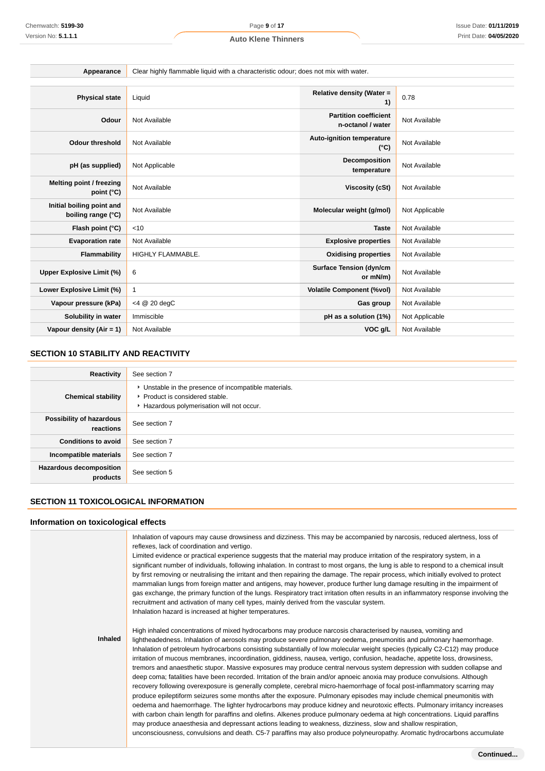| Appearance                                      | Clear highly flammable liquid with a characteristic odour; does not mix with water. |                                                   |                |
|-------------------------------------------------|-------------------------------------------------------------------------------------|---------------------------------------------------|----------------|
|                                                 |                                                                                     |                                                   |                |
| <b>Physical state</b>                           | Liquid                                                                              | Relative density (Water =<br>1)                   | 0.78           |
| Odour                                           | Not Available                                                                       | <b>Partition coefficient</b><br>n-octanol / water | Not Available  |
| <b>Odour threshold</b>                          | Not Available                                                                       | <b>Auto-ignition temperature</b><br>$(^{\circ}C)$ | Not Available  |
| pH (as supplied)                                | Not Applicable                                                                      | Decomposition<br>temperature                      | Not Available  |
| Melting point / freezing<br>point (°C)          | Not Available                                                                       | <b>Viscosity (cSt)</b>                            | Not Available  |
| Initial boiling point and<br>boiling range (°C) | Not Available                                                                       | Molecular weight (g/mol)                          | Not Applicable |
| Flash point (°C)                                | < 10                                                                                | <b>Taste</b>                                      | Not Available  |
| <b>Evaporation rate</b>                         | Not Available                                                                       | <b>Explosive properties</b>                       | Not Available  |
| Flammability                                    | HIGHLY FLAMMABLE.                                                                   | <b>Oxidising properties</b>                       | Not Available  |
| <b>Upper Explosive Limit (%)</b>                | 6                                                                                   | <b>Surface Tension (dyn/cm</b><br>or mN/m)        | Not Available  |
| Lower Explosive Limit (%)                       | 1                                                                                   | <b>Volatile Component (%vol)</b>                  | Not Available  |
| Vapour pressure (kPa)                           | <4 @ 20 degC                                                                        | Gas group                                         | Not Available  |
| Solubility in water                             | Immiscible                                                                          | pH as a solution (1%)                             | Not Applicable |
| Vapour density (Air = 1)                        | Not Available                                                                       | VOC g/L                                           | Not Available  |

### **SECTION 10 STABILITY AND REACTIVITY**

| Reactivity                                 | See section 7                                                                                                                        |
|--------------------------------------------|--------------------------------------------------------------------------------------------------------------------------------------|
| <b>Chemical stability</b>                  | • Unstable in the presence of incompatible materials.<br>▶ Product is considered stable.<br>Hazardous polymerisation will not occur. |
| Possibility of hazardous<br>reactions      | See section 7                                                                                                                        |
| <b>Conditions to avoid</b>                 | See section 7                                                                                                                        |
| Incompatible materials                     | See section 7                                                                                                                        |
| <b>Hazardous decomposition</b><br>products | See section 5                                                                                                                        |

### **SECTION 11 TOXICOLOGICAL INFORMATION**

### **Information on toxicological effects**

|         | Inhalation of vapours may cause drowsiness and dizziness. This may be accompanied by narcosis, reduced alertness, loss of<br>reflexes, lack of coordination and vertigo.<br>Limited evidence or practical experience suggests that the material may produce irritation of the respiratory system, in a<br>significant number of individuals, following inhalation. In contrast to most organs, the lung is able to respond to a chemical insult<br>by first removing or neutralising the irritant and then repairing the damage. The repair process, which initially evolved to protect<br>mammalian lungs from foreign matter and antigens, may however, produce further lung damage resulting in the impairment of<br>gas exchange, the primary function of the lungs. Respiratory tract irritation often results in an inflammatory response involving the<br>recruitment and activation of many cell types, mainly derived from the vascular system.<br>Inhalation hazard is increased at higher temperatures.                                                                                                                                                                                                                                                                                                                                                                                                                                                                                                           |
|---------|------------------------------------------------------------------------------------------------------------------------------------------------------------------------------------------------------------------------------------------------------------------------------------------------------------------------------------------------------------------------------------------------------------------------------------------------------------------------------------------------------------------------------------------------------------------------------------------------------------------------------------------------------------------------------------------------------------------------------------------------------------------------------------------------------------------------------------------------------------------------------------------------------------------------------------------------------------------------------------------------------------------------------------------------------------------------------------------------------------------------------------------------------------------------------------------------------------------------------------------------------------------------------------------------------------------------------------------------------------------------------------------------------------------------------------------------------------------------------------------------------------------------------|
| Inhaled | High inhaled concentrations of mixed hydrocarbons may produce narcosis characterised by nausea, vomiting and<br>lightheadedness. Inhalation of aerosols may produce severe pulmonary oedema, pneumonitis and pulmonary haemorrhage.<br>Inhalation of petroleum hydrocarbons consisting substantially of low molecular weight species (typically C2-C12) may produce<br>irritation of mucous membranes, incoordination, giddiness, nausea, vertigo, confusion, headache, appetite loss, drowsiness,<br>tremors and anaesthetic stupor. Massive exposures may produce central nervous system depression with sudden collapse and<br>deep coma; fatalities have been recorded. Irritation of the brain and/or apnoeic anoxia may produce convulsions. Although<br>recovery following overexposure is generally complete, cerebral micro-haemorrhage of focal post-inflammatory scarring may<br>produce epileptiform seizures some months after the exposure. Pulmonary episodes may include chemical pneumonitis with<br>oedema and haemorrhage. The lighter hydrocarbons may produce kidney and neurotoxic effects. Pulmonary irritancy increases<br>with carbon chain length for paraffins and olefins. Alkenes produce pulmonary oedema at high concentrations. Liquid paraffins<br>may produce anaesthesia and depressant actions leading to weakness, dizziness, slow and shallow respiration,<br>unconsciousness, convulsions and death. C5-7 paraffins may also produce polyneuropathy. Aromatic hydrocarbons accumulate |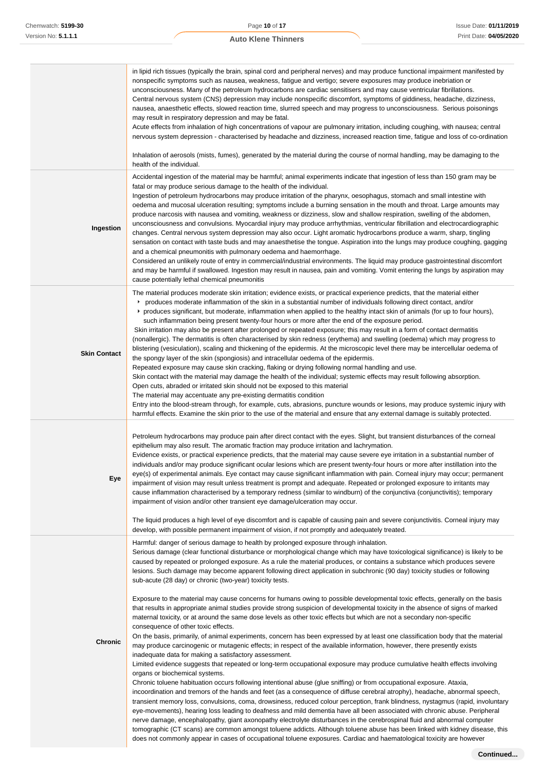|  | <b>Auto Klene Thinners</b> |
|--|----------------------------|
|  |                            |

|                     | in lipid rich tissues (typically the brain, spinal cord and peripheral nerves) and may produce functional impairment manifested by<br>nonspecific symptoms such as nausea, weakness, fatigue and vertigo; severe exposures may produce inebriation or<br>unconsciousness. Many of the petroleum hydrocarbons are cardiac sensitisers and may cause ventricular fibrillations.<br>Central nervous system (CNS) depression may include nonspecific discomfort, symptoms of giddiness, headache, dizziness,<br>nausea, anaesthetic effects, slowed reaction time, slurred speech and may progress to unconsciousness. Serious poisonings<br>may result in respiratory depression and may be fatal.<br>Acute effects from inhalation of high concentrations of vapour are pulmonary irritation, including coughing, with nausea; central<br>nervous system depression - characterised by headache and dizziness, increased reaction time, fatigue and loss of co-ordination<br>Inhalation of aerosols (mists, fumes), generated by the material during the course of normal handling, may be damaging to the<br>health of the individual.                                                                                                                                                                                                                                                                                                                                                                                                                                                                                                                                                                                                                                                                                                                                                                                                                                                                                                                                                                                                                                                                                                                                                                                                                                                  |
|---------------------|----------------------------------------------------------------------------------------------------------------------------------------------------------------------------------------------------------------------------------------------------------------------------------------------------------------------------------------------------------------------------------------------------------------------------------------------------------------------------------------------------------------------------------------------------------------------------------------------------------------------------------------------------------------------------------------------------------------------------------------------------------------------------------------------------------------------------------------------------------------------------------------------------------------------------------------------------------------------------------------------------------------------------------------------------------------------------------------------------------------------------------------------------------------------------------------------------------------------------------------------------------------------------------------------------------------------------------------------------------------------------------------------------------------------------------------------------------------------------------------------------------------------------------------------------------------------------------------------------------------------------------------------------------------------------------------------------------------------------------------------------------------------------------------------------------------------------------------------------------------------------------------------------------------------------------------------------------------------------------------------------------------------------------------------------------------------------------------------------------------------------------------------------------------------------------------------------------------------------------------------------------------------------------------------------------------------------------------------------------------------------------------|
| Ingestion           | Accidental ingestion of the material may be harmful; animal experiments indicate that ingestion of less than 150 gram may be<br>fatal or may produce serious damage to the health of the individual.<br>Ingestion of petroleum hydrocarbons may produce irritation of the pharynx, oesophagus, stomach and small intestine with<br>oedema and mucosal ulceration resulting; symptoms include a burning sensation in the mouth and throat. Large amounts may<br>produce narcosis with nausea and vomiting, weakness or dizziness, slow and shallow respiration, swelling of the abdomen,<br>unconsciousness and convulsions. Myocardial injury may produce arrhythmias, ventricular fibrillation and electrocardiographic<br>changes. Central nervous system depression may also occur. Light aromatic hydrocarbons produce a warm, sharp, tingling<br>sensation on contact with taste buds and may anaesthetise the tongue. Aspiration into the lungs may produce coughing, gagging<br>and a chemical pneumonitis with pulmonary oedema and haemorrhage.<br>Considered an unlikely route of entry in commercial/industrial environments. The liquid may produce gastrointestinal discomfort<br>and may be harmful if swallowed. Ingestion may result in nausea, pain and vomiting. Vomit entering the lungs by aspiration may<br>cause potentially lethal chemical pneumonitis                                                                                                                                                                                                                                                                                                                                                                                                                                                                                                                                                                                                                                                                                                                                                                                                                                                                                                                                                                                                         |
| <b>Skin Contact</b> | The material produces moderate skin irritation; evidence exists, or practical experience predicts, that the material either<br>produces moderate inflammation of the skin in a substantial number of individuals following direct contact, and/or<br>▶ produces significant, but moderate, inflammation when applied to the healthy intact skin of animals (for up to four hours),<br>such inflammation being present twenty-four hours or more after the end of the exposure period.<br>Skin irritation may also be present after prolonged or repeated exposure; this may result in a form of contact dermatitis<br>(nonallergic). The dermatitis is often characterised by skin redness (erythema) and swelling (oedema) which may progress to<br>blistering (vesiculation), scaling and thickening of the epidermis. At the microscopic level there may be intercellular oedema of<br>the spongy layer of the skin (spongiosis) and intracellular oedema of the epidermis.<br>Repeated exposure may cause skin cracking, flaking or drying following normal handling and use.<br>Skin contact with the material may damage the health of the individual; systemic effects may result following absorption.<br>Open cuts, abraded or irritated skin should not be exposed to this material<br>The material may accentuate any pre-existing dermatitis condition<br>Entry into the blood-stream through, for example, cuts, abrasions, puncture wounds or lesions, may produce systemic injury with<br>harmful effects. Examine the skin prior to the use of the material and ensure that any external damage is suitably protected.                                                                                                                                                                                                                                                                                                                                                                                                                                                                                                                                                                                                                                                                                                                                                 |
| Eye                 | Petroleum hydrocarbons may produce pain after direct contact with the eyes. Slight, but transient disturbances of the corneal<br>epithelium may also result. The aromatic fraction may produce irritation and lachrymation.<br>Evidence exists, or practical experience predicts, that the material may cause severe eye irritation in a substantial number of<br>individuals and/or may produce significant ocular lesions which are present twenty-four hours or more after instillation into the<br>eye(s) of experimental animals. Eye contact may cause significant inflammation with pain. Corneal injury may occur; permanent<br>impairment of vision may result unless treatment is prompt and adequate. Repeated or prolonged exposure to irritants may<br>cause inflammation characterised by a temporary redness (similar to windburn) of the conjunctiva (conjunctivitis); temporary<br>impairment of vision and/or other transient eye damage/ulceration may occur.<br>The liquid produces a high level of eye discomfort and is capable of causing pain and severe conjunctivitis. Corneal injury may<br>develop, with possible permanent impairment of vision, if not promptly and adequately treated.                                                                                                                                                                                                                                                                                                                                                                                                                                                                                                                                                                                                                                                                                                                                                                                                                                                                                                                                                                                                                                                                                                                                                                  |
| <b>Chronic</b>      | Harmful: danger of serious damage to health by prolonged exposure through inhalation.<br>Serious damage (clear functional disturbance or morphological change which may have toxicological significance) is likely to be<br>caused by repeated or prolonged exposure. As a rule the material produces, or contains a substance which produces severe<br>lesions. Such damage may become apparent following direct application in subchronic (90 day) toxicity studies or following<br>sub-acute (28 day) or chronic (two-year) toxicity tests.<br>Exposure to the material may cause concerns for humans owing to possible developmental toxic effects, generally on the basis<br>that results in appropriate animal studies provide strong suspicion of developmental toxicity in the absence of signs of marked<br>maternal toxicity, or at around the same dose levels as other toxic effects but which are not a secondary non-specific<br>consequence of other toxic effects.<br>On the basis, primarily, of animal experiments, concern has been expressed by at least one classification body that the material<br>may produce carcinogenic or mutagenic effects; in respect of the available information, however, there presently exists<br>inadequate data for making a satisfactory assessment.<br>Limited evidence suggests that repeated or long-term occupational exposure may produce cumulative health effects involving<br>organs or biochemical systems.<br>Chronic toluene habituation occurs following intentional abuse (glue sniffing) or from occupational exposure. Ataxia,<br>incoordination and tremors of the hands and feet (as a consequence of diffuse cerebral atrophy), headache, abnormal speech,<br>transient memory loss, convulsions, coma, drowsiness, reduced colour perception, frank blindness, nystagmus (rapid, involuntary<br>eye-movements), hearing loss leading to deafness and mild dementia have all been associated with chronic abuse. Peripheral<br>nerve damage, encephalopathy, giant axonopathy electrolyte disturbances in the cerebrospinal fluid and abnormal computer<br>tomographic (CT scans) are common amongst toluene addicts. Although toluene abuse has been linked with kidney disease, this<br>does not commonly appear in cases of occupational toluene exposures. Cardiac and haematological toxicity are however |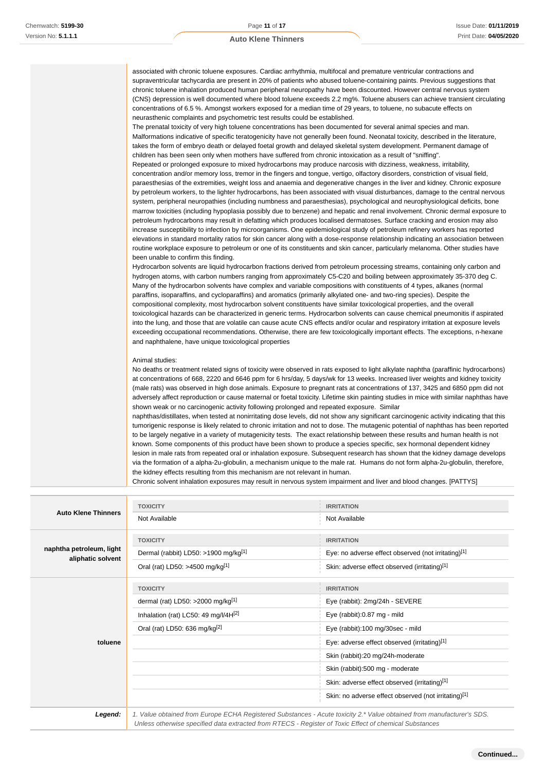associated with chronic toluene exposures. Cardiac arrhythmia, multifocal and premature ventricular contractions and supraventricular tachycardia are present in 20% of patients who abused toluene-containing paints. Previous suggestions that chronic toluene inhalation produced human peripheral neuropathy have been discounted. However central nervous system (CNS) depression is well documented where blood toluene exceeds 2.2 mg%. Toluene abusers can achieve transient circulating concentrations of 6.5 %. Amongst workers exposed for a median time of 29 years, to toluene, no subacute effects on neurasthenic complaints and psychometric test results could be established.

The prenatal toxicity of very high toluene concentrations has been documented for several animal species and man. Malformations indicative of specific teratogenicity have not generally been found. Neonatal toxicity, described in the literature, takes the form of embryo death or delayed foetal growth and delayed skeletal system development. Permanent damage of children has been seen only when mothers have suffered from chronic intoxication as a result of "sniffing".

Repeated or prolonged exposure to mixed hydrocarbons may produce narcosis with dizziness, weakness, irritability, concentration and/or memory loss, tremor in the fingers and tongue, vertigo, olfactory disorders, constriction of visual field, paraesthesias of the extremities, weight loss and anaemia and degenerative changes in the liver and kidney. Chronic exposure by petroleum workers, to the lighter hydrocarbons, has been associated with visual disturbances, damage to the central nervous system, peripheral neuropathies (including numbness and paraesthesias), psychological and neurophysiological deficits, bone marrow toxicities (including hypoplasia possibly due to benzene) and hepatic and renal involvement. Chronic dermal exposure to petroleum hydrocarbons may result in defatting which produces localised dermatoses. Surface cracking and erosion may also increase susceptibility to infection by microorganisms. One epidemiological study of petroleum refinery workers has reported elevations in standard mortality ratios for skin cancer along with a dose-response relationship indicating an association between routine workplace exposure to petroleum or one of its constituents and skin cancer, particularly melanoma. Other studies have been unable to confirm this finding.

Hydrocarbon solvents are liquid hydrocarbon fractions derived from petroleum processing streams, containing only carbon and hydrogen atoms, with carbon numbers ranging from approximately C5-C20 and boiling between approximately 35-370 deg C. Many of the hydrocarbon solvents have complex and variable compositions with constituents of 4 types, alkanes (normal paraffins, isoparaffins, and cycloparaffins) and aromatics (primarily alkylated one- and two-ring species). Despite the compositional complexity, most hydrocarbon solvent constituents have similar toxicological properties, and the overall toxicological hazards can be characterized in generic terms. Hydrocarbon solvents can cause chemical pneumonitis if aspirated into the lung, and those that are volatile can cause acute CNS effects and/or ocular and respiratory irritation at exposure levels exceeding occupational recommendations. Otherwise, there are few toxicologically important effects. The exceptions, n-hexane and naphthalene, have unique toxicological properties

#### Animal studies:

No deaths or treatment related signs of toxicity were observed in rats exposed to light alkylate naphtha (paraffinic hydrocarbons) at concentrations of 668, 2220 and 6646 ppm for 6 hrs/day, 5 days/wk for 13 weeks. Increased liver weights and kidney toxicity (male rats) was observed in high dose animals. Exposure to pregnant rats at concentrations of 137, 3425 and 6850 ppm did not adversely affect reproduction or cause maternal or foetal toxicity. Lifetime skin painting studies in mice with similar naphthas have shown weak or no carcinogenic activity following prolonged and repeated exposure. Similar

naphthas/distillates, when tested at nonirritating dose levels, did not show any significant carcinogenic activity indicating that this tumorigenic response is likely related to chronic irritation and not to dose. The mutagenic potential of naphthas has been reported to be largely negative in a variety of mutagenicity tests. The exact relationship between these results and human health is not known. Some components of this product have been shown to produce a species specific, sex hormonal dependent kidney lesion in male rats from repeated oral or inhalation exposure. Subsequent research has shown that the kidney damage develops via the formation of a alpha-2u-globulin, a mechanism unique to the male rat. Humans do not form alpha-2u-globulin, therefore, the kidney effects resulting from this mechanism are not relevant in human.

Chronic solvent inhalation exposures may result in nervous system impairment and liver and blood changes. [PATTYS]

|                                               | <b>TOXICITY</b>                                                                                                    | <b>IRRITATION</b>                                    |
|-----------------------------------------------|--------------------------------------------------------------------------------------------------------------------|------------------------------------------------------|
| <b>Auto Klene Thinners</b>                    | Not Available                                                                                                      | Not Available                                        |
|                                               | <b>TOXICITY</b>                                                                                                    | <b>IRRITATION</b>                                    |
| naphtha petroleum, light<br>aliphatic solvent | Dermal (rabbit) LD50: >1900 mg/kg[1]                                                                               | Eye: no adverse effect observed (not irritating)[1]  |
|                                               | Oral (rat) LD50: >4500 mg/kg[1]                                                                                    | Skin: adverse effect observed (irritating)[1]        |
|                                               | <b>TOXICITY</b>                                                                                                    | <b>IRRITATION</b>                                    |
|                                               | dermal (rat) LD50: >2000 mg/kg $[1]$                                                                               | Eye (rabbit): 2mg/24h - SEVERE                       |
|                                               | Inhalation (rat) LC50: 49 mg/l/4 $H[2]$                                                                            | Eye (rabbit):0.87 mg - mild                          |
|                                               | Oral (rat) LD50: 636 mg/kg <sup>[2]</sup>                                                                          | Eye (rabbit):100 mg/30sec - mild                     |
| toluene                                       |                                                                                                                    | Eye: adverse effect observed (irritating)[1]         |
|                                               |                                                                                                                    | Skin (rabbit):20 mg/24h-moderate                     |
|                                               |                                                                                                                    | Skin (rabbit):500 mg - moderate                      |
|                                               |                                                                                                                    | Skin: adverse effect observed (irritating)[1]        |
|                                               |                                                                                                                    | Skin: no adverse effect observed (not irritating)[1] |
| $l$ cornal:                                   | 1 Value obtained from Europe ECUA Posicitored Substances Agute toxicity 2 * Value obtained from manufacturer's SDS |                                                      |

**Legend:** 1. Value obtained from Europe ECHA Registered Substances - Acute toxicity 2.\* Value obtained from manufacturer's SDS. Unless otherwise specified data extracted from RTECS - Register of Toxic Effect of chemical Substances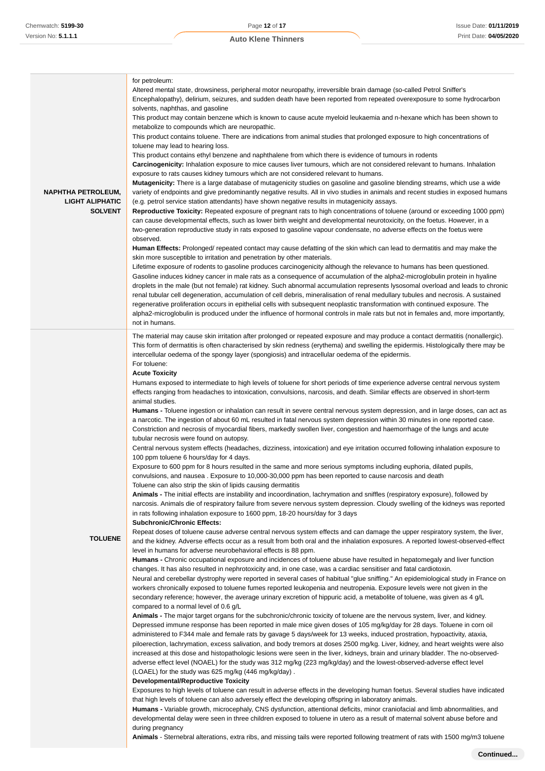| <b>NAPHTHA PETROLEUM,</b><br><b>LIGHT ALIPHATIC</b><br><b>SOLVENT</b> | for petroleum:<br>Altered mental state, drowsiness, peripheral motor neuropathy, irreversible brain damage (so-called Petrol Sniffer's<br>Encephalopathy), delirium, seizures, and sudden death have been reported from repeated overexposure to some hydrocarbon<br>solvents, naphthas, and gasoline<br>This product may contain benzene which is known to cause acute myeloid leukaemia and n-hexane which has been shown to<br>metabolize to compounds which are neuropathic.<br>This product contains toluene. There are indications from animal studies that prolonged exposure to high concentrations of<br>toluene may lead to hearing loss.<br>This product contains ethyl benzene and naphthalene from which there is evidence of tumours in rodents<br>Carcinogenicity: Inhalation exposure to mice causes liver tumours, which are not considered relevant to humans. Inhalation<br>exposure to rats causes kidney tumours which are not considered relevant to humans.<br>Mutagenicity: There is a large database of mutagenicity studies on gasoline and gasoline blending streams, which use a wide<br>variety of endpoints and give predominantly negative results. All in vivo studies in animals and recent studies in exposed humans<br>(e.g. petrol service station attendants) have shown negative results in mutagenicity assays.<br>Reproductive Toxicity: Repeated exposure of pregnant rats to high concentrations of toluene (around or exceeding 1000 ppm)<br>can cause developmental effects, such as lower birth weight and developmental neurotoxicity, on the foetus. However, in a<br>two-generation reproductive study in rats exposed to gasoline vapour condensate, no adverse effects on the foetus were<br>observed.<br><b>Human Effects:</b> Prolonged/ repeated contact may cause defatting of the skin which can lead to dermatitis and may make the<br>skin more susceptible to irritation and penetration by other materials.<br>Lifetime exposure of rodents to gasoline produces carcinogenicity although the relevance to humans has been questioned.<br>Gasoline induces kidney cancer in male rats as a consequence of accumulation of the alpha2-microglobulin protein in hyaline<br>droplets in the male (but not female) rat kidney. Such abnormal accumulation represents lysosomal overload and leads to chronic<br>renal tubular cell degeneration, accumulation of cell debris, mineralisation of renal medullary tubules and necrosis. A sustained<br>regenerative proliferation occurs in epithelial cells with subsequent neoplastic transformation with continued exposure. The<br>alpha2-microglobulin is produced under the influence of hormonal controls in male rats but not in females and, more importantly,<br>not in humans.                                                                                                                                                                                                                                                                                                                                                                                                                                                                                                                                                                                                                                                                                                                                                                                                                                                                                                                                                                                                                                                                                                                                                                                                                                                                                                                                                                                                                                                                                                                                                                                                                                                                                            |
|-----------------------------------------------------------------------|-------------------------------------------------------------------------------------------------------------------------------------------------------------------------------------------------------------------------------------------------------------------------------------------------------------------------------------------------------------------------------------------------------------------------------------------------------------------------------------------------------------------------------------------------------------------------------------------------------------------------------------------------------------------------------------------------------------------------------------------------------------------------------------------------------------------------------------------------------------------------------------------------------------------------------------------------------------------------------------------------------------------------------------------------------------------------------------------------------------------------------------------------------------------------------------------------------------------------------------------------------------------------------------------------------------------------------------------------------------------------------------------------------------------------------------------------------------------------------------------------------------------------------------------------------------------------------------------------------------------------------------------------------------------------------------------------------------------------------------------------------------------------------------------------------------------------------------------------------------------------------------------------------------------------------------------------------------------------------------------------------------------------------------------------------------------------------------------------------------------------------------------------------------------------------------------------------------------------------------------------------------------------------------------------------------------------------------------------------------------------------------------------------------------------------------------------------------------------------------------------------------------------------------------------------------------------------------------------------------------------------------------------------------------------------------------------------------------------------------------------------------------------------------------------------------------------------------------------------------------------------------------------------------------------------------------------------------------------------------------------------------------------------------------------------------------------------------------------------------------------------------------------------------------------------------------------------------------------------------------------------------------------------------------------------------------------------------------------------------------------------------------------------------------------------------------------------------------------------------------------------------------------------------------------------------------------------------------------------------------------------------------------------------------------------------------------------------------------------------------------------------------------------------------------------------------------------------------------------------------------------------------------------------------------------------------------------------------------------------------------------------------------------------------------------------------------------------------------------------------------------------------------------------------------------------------------------------------------------------------------------------------------------------------------------------------------------------------------------------------------------------------------------------------------------------------------------------------------------------------|
| <b>TOLUENE</b>                                                        | The material may cause skin irritation after prolonged or repeated exposure and may produce a contact dermatitis (nonallergic).<br>This form of dermatitis is often characterised by skin redness (erythema) and swelling the epidermis. Histologically there may be<br>intercellular oedema of the spongy layer (spongiosis) and intracellular oedema of the epidermis.<br>For toluene:<br><b>Acute Toxicity</b><br>Humans exposed to intermediate to high levels of toluene for short periods of time experience adverse central nervous system<br>effects ranging from headaches to intoxication, convulsions, narcosis, and death. Similar effects are observed in short-term<br>animal studies.<br><b>Humans -</b> Toluene ingestion or inhalation can result in severe central nervous system depression, and in large doses, can act as<br>a narcotic. The ingestion of about 60 mL resulted in fatal nervous system depression within 30 minutes in one reported case.<br>Constriction and necrosis of myocardial fibers, markedly swollen liver, congestion and haemorrhage of the lungs and acute<br>tubular necrosis were found on autopsy.<br>Central nervous system effects (headaches, dizziness, intoxication) and eye irritation occurred following inhalation exposure to<br>100 ppm toluene 6 hours/day for 4 days.<br>Exposure to 600 ppm for 8 hours resulted in the same and more serious symptoms including euphoria, dilated pupils,<br>convulsions, and nausea . Exposure to 10,000-30,000 ppm has been reported to cause narcosis and death<br>Toluene can also strip the skin of lipids causing dermatitis<br>Animals - The initial effects are instability and incoordination, lachrymation and sniffles (respiratory exposure), followed by<br>narcosis. Animals die of respiratory failure from severe nervous system depression. Cloudy swelling of the kidneys was reported<br>in rats following inhalation exposure to 1600 ppm, 18-20 hours/day for 3 days<br><b>Subchronic/Chronic Effects:</b><br>Repeat doses of toluene cause adverse central nervous system effects and can damage the upper respiratory system, the liver,<br>and the kidney. Adverse effects occur as a result from both oral and the inhalation exposures. A reported lowest-observed-effect<br>level in humans for adverse neurobehavioral effects is 88 ppm.<br>Humans - Chronic occupational exposure and incidences of toluene abuse have resulted in hepatomegaly and liver function<br>changes. It has also resulted in nephrotoxicity and, in one case, was a cardiac sensitiser and fatal cardiotoxin.<br>Neural and cerebellar dystrophy were reported in several cases of habitual "glue sniffing." An epidemiological study in France on<br>workers chronically exposed to toluene fumes reported leukopenia and neutropenia. Exposure levels were not given in the<br>secondary reference; however, the average urinary excretion of hippuric acid, a metabolite of toluene, was given as 4 g/L<br>compared to a normal level of 0.6 g/L<br>Animals - The major target organs for the subchronic/chronic toxicity of toluene are the nervous system, liver, and kidney.<br>Depressed immune response has been reported in male mice given doses of 105 mg/kg/day for 28 days. Toluene in corn oil<br>administered to F344 male and female rats by gavage 5 days/week for 13 weeks, induced prostration, hypoactivity, ataxia,<br>piloerection, lachrymation, excess salivation, and body tremors at doses 2500 mg/kg. Liver, kidney, and heart weights were also<br>increased at this dose and histopathologic lesions were seen in the liver, kidneys, brain and urinary bladder. The no-observed-<br>adverse effect level (NOAEL) for the study was 312 mg/kg (223 mg/kg/day) and the lowest-observed-adverse effect level<br>(LOAEL) for the study was 625 mg/kg (446 mg/kg/day).<br><b>Developmental/Reproductive Toxicity</b><br>Exposures to high levels of toluene can result in adverse effects in the developing human foetus. Several studies have indicated<br>that high levels of toluene can also adversely effect the developing offspring in laboratory animals.<br>Humans - Variable growth, microcephaly, CNS dysfunction, attentional deficits, minor craniofacial and limb abnormalities, and<br>developmental delay were seen in three children exposed to toluene in utero as a result of maternal solvent abuse before and<br>during pregnancy |

**Animals** - Sternebral alterations, extra ribs, and missing tails were reported following treatment of rats with 1500 mg/m3 toluene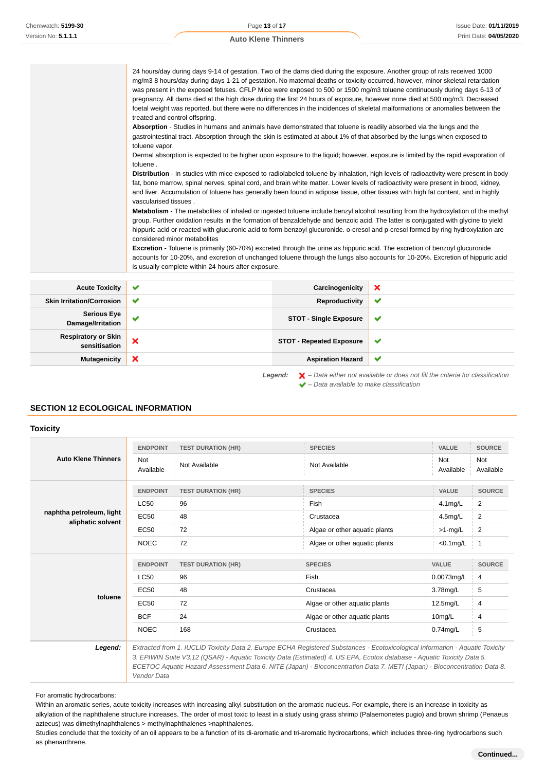24 hours/day during days 9-14 of gestation. Two of the dams died during the exposure. Another group of rats received 1000 mg/m3 8 hours/day during days 1-21 of gestation. No maternal deaths or toxicity occurred, however, minor skeletal retardation was present in the exposed fetuses. CFLP Mice were exposed to 500 or 1500 mg/m3 toluene continuously during days 6-13 of pregnancy. All dams died at the high dose during the first 24 hours of exposure, however none died at 500 mg/m3. Decreased foetal weight was reported, but there were no differences in the incidences of skeletal malformations or anomalies between the treated and control offspring. **Absorption** - Studies in humans and animals have demonstrated that toluene is readily absorbed via the lungs and the gastrointestinal tract. Absorption through the skin is estimated at about 1% of that absorbed by the lungs when exposed to toluene vapor.

Dermal absorption is expected to be higher upon exposure to the liquid; however, exposure is limited by the rapid evaporation of toluene

**Distribution** - In studies with mice exposed to radiolabeled toluene by inhalation, high levels of radioactivity were present in body fat, bone marrow, spinal nerves, spinal cord, and brain white matter. Lower levels of radioactivity were present in blood, kidney, and liver. Accumulation of toluene has generally been found in adipose tissue, other tissues with high fat content, and in highly vascularised tissues .

**Metabolism** - The metabolites of inhaled or ingested toluene include benzyl alcohol resulting from the hydroxylation of the methyl group. Further oxidation results in the formation of benzaldehyde and benzoic acid. The latter is conjugated with glycine to yield hippuric acid or reacted with glucuronic acid to form benzoyl glucuronide. o-cresol and p-cresol formed by ring hydroxylation are considered minor metabolites

**Excretion -** Toluene is primarily (60-70%) excreted through the urine as hippuric acid. The excretion of benzoyl glucuronide accounts for 10-20%, and excretion of unchanged toluene through the lungs also accounts for 10-20%. Excretion of hippuric acid is usually complete within 24 hours after exposure.

| <b>Acute Toxicity</b>                                                                                         | $\checkmark$ | Carcinogenicity                 | ×            |
|---------------------------------------------------------------------------------------------------------------|--------------|---------------------------------|--------------|
| <b>Skin Irritation/Corrosion</b>                                                                              | $\checkmark$ | Reproductivity                  | ✔            |
| <b>Serious Eye</b><br>Damage/Irritation                                                                       | ✔            | <b>STOT - Single Exposure</b>   | v            |
| <b>Respiratory or Skin</b><br>sensitisation                                                                   | ×            | <b>STOT - Repeated Exposure</b> | v            |
| <b>Mutagenicity</b>                                                                                           | ×            | <b>Aspiration Hazard</b>        | $\checkmark$ |
| $\blacktriangleright$ – Data either not available or does not fill the criteria for classification<br>Legend: |              |                                 |              |

 $\blacktriangleright$  – Data available to make classification

### **SECTION 12 ECOLOGICAL INFORMATION**

#### **Toxicity**

| <b>Auto Klene Thinners</b>                    | <b>ENDPOINT</b>         | <b>TEST DURATION (HR)</b> | <b>SPECIES</b>                | <b>VALUE</b>            | <b>SOURCE</b>    |
|-----------------------------------------------|-------------------------|---------------------------|-------------------------------|-------------------------|------------------|
|                                               | <b>Not</b><br>Available | Not Available             | Not Available                 | <b>Not</b><br>Available | Not<br>Available |
|                                               | <b>ENDPOINT</b>         | <b>TEST DURATION (HR)</b> | <b>SPECIES</b>                | <b>VALUE</b>            | <b>SOURCE</b>    |
|                                               | <b>LC50</b>             | 96                        | Fish                          | $4.1$ mg/L              | $\overline{2}$   |
| naphtha petroleum, light<br>aliphatic solvent | <b>EC50</b>             | 48                        | Crustacea                     | 4.5mg/L                 | $\overline{2}$   |
|                                               | <b>EC50</b>             | 72                        | Algae or other aquatic plants | $>1$ -mg/L              | $\overline{2}$   |
|                                               | <b>NOEC</b>             | 72                        | Algae or other aquatic plants | $<$ 0.1 $mg/L$          | -1               |
|                                               | <b>ENDPOINT</b>         | <b>TEST DURATION (HR)</b> | <b>SPECIES</b>                | VALUE                   | <b>SOURCE</b>    |
|                                               | <b>LC50</b>             | 96                        | Fish                          | 0.0073mg/L              | 4                |
|                                               | EC50                    | 48                        | Crustacea                     | 3.78mg/L                | 5                |
| toluene                                       | <b>EC50</b>             | 72                        | Algae or other aquatic plants | 12.5mg/L                | 4                |
|                                               | <b>BCF</b>              | 24                        | Algae or other aquatic plants | $10$ mg/L               | 4                |
|                                               | <b>NOEC</b>             | 168                       | Crustacea                     | $0.74$ mg/L             | 5                |

**Legend:** Extracted from 1. IUCLID Toxicity Data 2. Europe ECHA Registered Substances - Ecotoxicological Information - Aquatic Toxicity 3. EPIWIN Suite V3.12 (QSAR) - Aquatic Toxicity Data (Estimated) 4. US EPA, Ecotox database - Aquatic Toxicity Data 5. ECETOC Aquatic Hazard Assessment Data 6. NITE (Japan) - Bioconcentration Data 7. METI (Japan) - Bioconcentration Data 8. Vendor Data

For aromatic hydrocarbons:

Within an aromatic series, acute toxicity increases with increasing alkyl substitution on the aromatic nucleus. For example, there is an increase in toxicity as alkylation of the naphthalene structure increases. The order of most toxic to least in a study using grass shrimp (Palaemonetes pugio) and brown shrimp (Penaeus aztecus) was dimethylnaphthalenes > methylnaphthalenes >naphthalenes.

Studies conclude that the toxicity of an oil appears to be a function of its di-aromatic and tri-aromatic hydrocarbons, which includes three-ring hydrocarbons such as phenanthrene.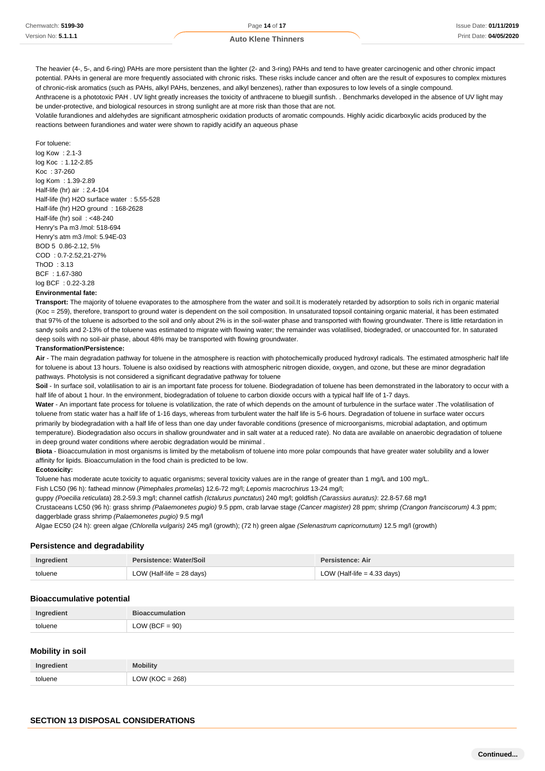The heavier (4-, 5-, and 6-ring) PAHs are more persistent than the lighter (2- and 3-ring) PAHs and tend to have greater carcinogenic and other chronic impact potential. PAHs in general are more frequently associated with chronic risks. These risks include cancer and often are the result of exposures to complex mixtures of chronic-risk aromatics (such as PAHs, alkyl PAHs, benzenes, and alkyl benzenes), rather than exposures to low levels of a single compound.

Anthracene is a phototoxic PAH . UV light greatly increases the toxicity of anthracene to bluegill sunfish. . Benchmarks developed in the absence of UV light may be under-protective, and biological resources in strong sunlight are at more risk than those that are not.

Volatile furandiones and aldehydes are significant atmospheric oxidation products of aromatic compounds. Highly acidic dicarboxylic acids produced by the reactions between furandiones and water were shown to rapidly acidify an aqueous phase

#### For toluene:

log Kow : 2.1-3 log Koc : 1.12-2.85 Koc : 37-260 log Kom : 1.39-2.89 Half-life (hr) air : 2.4-104 Half-life (hr) H2O surface water : 5.55-528 Half-life (hr) H2O ground : 168-2628 Half-life (hr) soil : <48-240 Henry's Pa m3 /mol: 518-694 Henry's atm m3 /mol: 5.94E-03 BOD 5 0.86-2.12, 5% COD : 0.7-2.52,21-27% ThOD : 3.13 BCF : 1.67-380 log BCF : 0.22-3.28

#### **Environmental fate:**

**Transport:** The majority of toluene evaporates to the atmosphere from the water and soil.It is moderately retarded by adsorption to soils rich in organic material (Koc = 259), therefore, transport to ground water is dependent on the soil composition. In unsaturated topsoil containing organic material, it has been estimated that 97% of the toluene is adsorbed to the soil and only about 2% is in the soil-water phase and transported with flowing groundwater. There is little retardation in sandy soils and 2-13% of the toluene was estimated to migrate with flowing water; the remainder was volatilised, biodegraded, or unaccounted for. In saturated deep soils with no soil-air phase, about 48% may be transported with flowing groundwater.

#### **Transformation/Persistence:**

**Air** - The main degradation pathway for toluene in the atmosphere is reaction with photochemically produced hydroxyl radicals. The estimated atmospheric half life for toluene is about 13 hours. Toluene is also oxidised by reactions with atmospheric nitrogen dioxide, oxygen, and ozone, but these are minor degradation pathways. Photolysis is not considered a significant degradative pathway for toluene

**Soil** - In surface soil, volatilisation to air is an important fate process for toluene. Biodegradation of toluene has been demonstrated in the laboratory to occur with a half life of about 1 hour. In the environment, biodegradation of toluene to carbon dioxide occurs with a typical half life of 1-7 days.

Water - An important fate process for toluene is volatilization, the rate of which depends on the amount of turbulence in the surface water .The volatilisation of toluene from static water has a half life of 1-16 days, whereas from turbulent water the half life is 5-6 hours. Degradation of toluene in surface water occurs primarily by biodegradation with a half life of less than one day under favorable conditions (presence of microorganisms, microbial adaptation, and optimum temperature). Biodegradation also occurs in shallow groundwater and in salt water at a reduced rate). No data are available on anaerobic degradation of toluene in deep ground water conditions where aerobic degradation would be minimal .

**Biota** - Bioaccumulation in most organisms is limited by the metabolism of toluene into more polar compounds that have greater water solubility and a lower affinity for lipids. Bioaccumulation in the food chain is predicted to be low.

#### **Ecotoxicity:**

Toluene has moderate acute toxicity to aquatic organisms; several toxicity values are in the range of greater than 1 mg/L and 100 mg/L.

Fish LC50 (96 h): fathead minnow (Pimephales promelas) 12.6-72 mg/l; Lepomis macrochirus 13-24 mg/l;

guppy (Poecilia reticulata) 28.2-59.3 mg/l; channel catfish (Ictalurus punctatus) 240 mg/l; goldfish (Carassius auratus): 22.8-57.68 mg/l Crustaceans LC50 (96 h): grass shrimp (Palaemonetes pugio) 9.5 ppm, crab larvae stage (Cancer magister) 28 ppm; shrimp (Crangon franciscorum) 4.3 ppm; daggerblade grass shrimp (Palaemonetes pugio) 9.5 mg/l

Algae EC50 (24 h): green algae (Chlorella vulgaris) 245 mg/l (growth); (72 h) green algae (Selenastrum capricornutum) 12.5 mg/l (growth)

#### **Persistence and degradability**

| Ingredient | Persistence: Water/Soil     | Persistence: Air              |
|------------|-----------------------------|-------------------------------|
| toluene    | LOW (Half-life $= 28$ days) | LOW (Half-life $=$ 4.33 days) |

#### **Bioaccumulative potential**

| Ingredient | <b>Bioaccumulation</b> |
|------------|------------------------|
| toluene    | $LOW (BCF = 90)$       |

#### **Mobility in soil**

| Ingredient | <b>Mobility</b>  |
|------------|------------------|
| toluene    | $OW (KOC = 268)$ |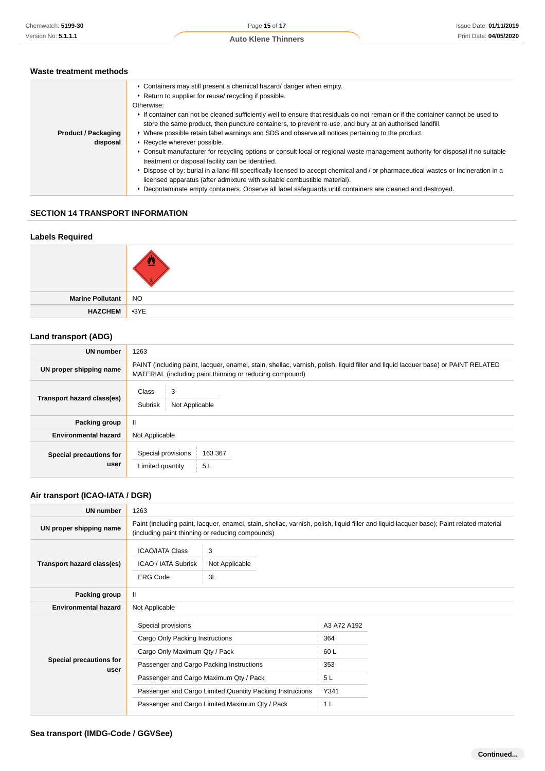### **Waste treatment methods**

| • Containers may still present a chemical hazard/danger when empty.<br>▶ Return to supplier for reuse/ recycling if possible.<br>Otherwise:<br>If container can not be cleaned sufficiently well to ensure that residuals do not remain or if the container cannot be used to<br>store the same product, then puncture containers, to prevent re-use, and bury at an authorised landfill.<br>▶ Where possible retain label warnings and SDS and observe all notices pertaining to the product.<br><b>Product / Packaging</b><br>▶ Recycle wherever possible.<br>disposal<br>▶ Consult manufacturer for recycling options or consult local or regional waste management authority for disposal if no suitable<br>treatment or disposal facility can be identified.<br>▶ Dispose of by: burial in a land-fill specifically licensed to accept chemical and / or pharmaceutical wastes or Incineration in a<br>licensed apparatus (after admixture with suitable combustible material).<br>▶ Decontaminate empty containers. Observe all label safeguards until containers are cleaned and destroyed. |  |
|----------------------------------------------------------------------------------------------------------------------------------------------------------------------------------------------------------------------------------------------------------------------------------------------------------------------------------------------------------------------------------------------------------------------------------------------------------------------------------------------------------------------------------------------------------------------------------------------------------------------------------------------------------------------------------------------------------------------------------------------------------------------------------------------------------------------------------------------------------------------------------------------------------------------------------------------------------------------------------------------------------------------------------------------------------------------------------------------------|--|
|                                                                                                                                                                                                                                                                                                                                                                                                                                                                                                                                                                                                                                                                                                                                                                                                                                                                                                                                                                                                                                                                                                    |  |

### **SECTION 14 TRANSPORT INFORMATION**

### **Labels Required**

| Marine Pollutant NO |  |
|---------------------|--|
| HAZCHEM 3YE         |  |

### **Land transport (ADG)**

| UN number                       | 1263                                                                                                                                                                                          |  |  |
|---------------------------------|-----------------------------------------------------------------------------------------------------------------------------------------------------------------------------------------------|--|--|
| UN proper shipping name         | PAINT (including paint, lacquer, enamel, stain, shellac, varnish, polish, liquid filler and liquid lacquer base) or PAINT RELATED<br>MATERIAL (including paint thinning or reducing compound) |  |  |
| Transport hazard class(es)      | 3<br>Class<br>Subrisk<br>Not Applicable                                                                                                                                                       |  |  |
| Packing group                   | Ш                                                                                                                                                                                             |  |  |
| <b>Environmental hazard</b>     | Not Applicable                                                                                                                                                                                |  |  |
| Special precautions for<br>user | Special provisions<br>163 367<br>5 <sub>L</sub><br>Limited quantity                                                                                                                           |  |  |

### **Air transport (ICAO-IATA / DGR)**

| <b>UN number</b>                | 1263                                                                                                                                                                                         |                           |             |  |  |
|---------------------------------|----------------------------------------------------------------------------------------------------------------------------------------------------------------------------------------------|---------------------------|-------------|--|--|
| UN proper shipping name         | Paint (including paint, lacquer, enamel, stain, shellac, varnish, polish, liquid filler and liquid lacquer base); Paint related material<br>(including paint thinning or reducing compounds) |                           |             |  |  |
| Transport hazard class(es)      | <b>ICAO/IATA Class</b><br>ICAO / IATA Subrisk<br><b>ERG Code</b>                                                                                                                             | 3<br>Not Applicable<br>3L |             |  |  |
| Packing group                   | Ш                                                                                                                                                                                            |                           |             |  |  |
| <b>Environmental hazard</b>     | Not Applicable                                                                                                                                                                               |                           |             |  |  |
| Special precautions for<br>user | Special provisions                                                                                                                                                                           |                           | A3 A72 A192 |  |  |
|                                 | Cargo Only Packing Instructions                                                                                                                                                              |                           | 364         |  |  |
|                                 | Cargo Only Maximum Qty / Pack                                                                                                                                                                |                           | 60 L        |  |  |
|                                 | Passenger and Cargo Packing Instructions                                                                                                                                                     |                           | 353         |  |  |
|                                 | Passenger and Cargo Maximum Qty / Pack                                                                                                                                                       |                           | 5 L         |  |  |
|                                 | Passenger and Cargo Limited Quantity Packing Instructions                                                                                                                                    |                           | Y341        |  |  |
|                                 | Passenger and Cargo Limited Maximum Qty / Pack                                                                                                                                               |                           | 1 L         |  |  |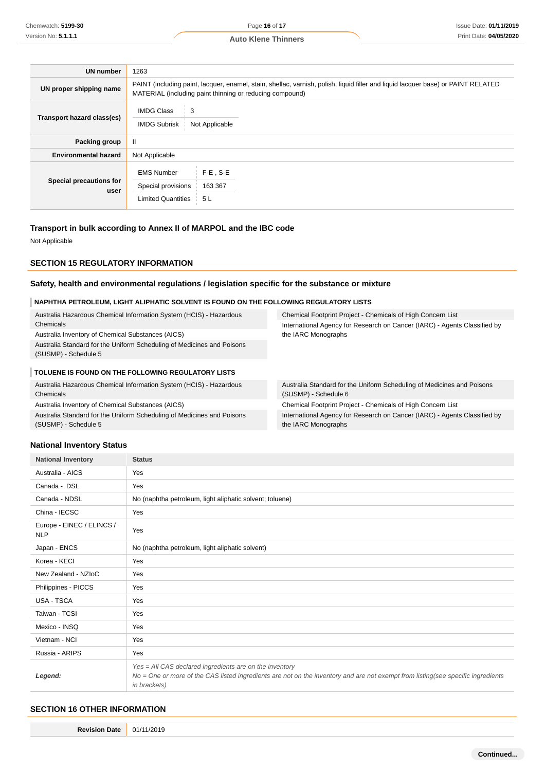| <b>UN number</b>                | 1263                                                                                                                                                                                          |                              |  |
|---------------------------------|-----------------------------------------------------------------------------------------------------------------------------------------------------------------------------------------------|------------------------------|--|
| UN proper shipping name         | PAINT (including paint, lacquer, enamel, stain, shellac, varnish, polish, liquid filler and liquid lacquer base) or PAINT RELATED<br>MATERIAL (including paint thinning or reducing compound) |                              |  |
| Transport hazard class(es)      | <b>IMDG Class</b><br>3<br><b>IMDG Subrisk</b><br>Not Applicable                                                                                                                               |                              |  |
| Packing group                   | Ш                                                                                                                                                                                             |                              |  |
| <b>Environmental hazard</b>     | Not Applicable                                                                                                                                                                                |                              |  |
| Special precautions for<br>user | <b>EMS Number</b><br>Special provisions<br><b>Limited Quantities</b>                                                                                                                          | $F-E$ . S-E<br>163 367<br>5L |  |

### **Transport in bulk according to Annex II of MARPOL and the IBC code**

Not Applicable

### **SECTION 15 REGULATORY INFORMATION**

### **Safety, health and environmental regulations / legislation specific for the substance or mixture**

### **NAPHTHA PETROLEUM, LIGHT ALIPHATIC SOLVENT IS FOUND ON THE FOLLOWING REGULATORY LISTS**

| Australia Hazardous Chemical Information System (HCIS) - Hazardous     | <b>Chemical Footprint</b>  |
|------------------------------------------------------------------------|----------------------------|
| Chemicals                                                              | <b>International Agend</b> |
| Australia Inventory of Chemical Substances (AICS)                      | the IARC Monograp          |
| Australia Standard for the Uniform Scheduling of Medicines and Poisons |                            |
| (SUSMP) - Schedule 5                                                   |                            |
|                                                                        |                            |

#### **TOLUENE IS FOUND ON THE FOLLOWING REGULATORY LISTS**

Australia Hazardous Chemical Information System (HCIS) - Hazardous Chemicals

Australia Inventory of Chemical Substances (AICS)

Australia Standard for the Uniform Scheduling of Medicines and Poisons (SUSMP) - Schedule 5

Project - Chemicals of High Concern List cy for Research on Cancer (IARC) - Agents Classified by phs

Australia Standard for the Uniform Scheduling of Medicines and Poisons (SUSMP) - Schedule 6

Chemical Footprint Project - Chemicals of High Concern List International Agency for Research on Cancer (IARC) - Agents Classified by the IARC Monographs

### **National Inventory Status**

| <b>National Inventory</b>               | <b>Status</b>                                                                                                                                                                                               |  |  |
|-----------------------------------------|-------------------------------------------------------------------------------------------------------------------------------------------------------------------------------------------------------------|--|--|
| Australia - AICS                        | Yes                                                                                                                                                                                                         |  |  |
| Canada - DSL                            | Yes                                                                                                                                                                                                         |  |  |
| Canada - NDSL                           | No (naphtha petroleum, light aliphatic solvent; toluene)                                                                                                                                                    |  |  |
| China - IECSC                           | Yes                                                                                                                                                                                                         |  |  |
| Europe - EINEC / ELINCS /<br><b>NLP</b> | Yes                                                                                                                                                                                                         |  |  |
| Japan - ENCS                            | No (naphtha petroleum, light aliphatic solvent)                                                                                                                                                             |  |  |
| Korea - KECI                            | Yes                                                                                                                                                                                                         |  |  |
| New Zealand - NZIoC                     | Yes                                                                                                                                                                                                         |  |  |
| Philippines - PICCS                     | Yes                                                                                                                                                                                                         |  |  |
| USA - TSCA                              | Yes                                                                                                                                                                                                         |  |  |
| Taiwan - TCSI                           | Yes                                                                                                                                                                                                         |  |  |
| Mexico - INSQ                           | Yes                                                                                                                                                                                                         |  |  |
| Vietnam - NCI                           | Yes                                                                                                                                                                                                         |  |  |
| Russia - ARIPS                          | Yes                                                                                                                                                                                                         |  |  |
| Legend:                                 | Yes = All CAS declared ingredients are on the inventory<br>No = One or more of the CAS listed ingredients are not on the inventory and are not exempt from listing(see specific ingredients<br>in brackets) |  |  |

### **SECTION 16 OTHER INFORMATION**

**Revision Date** 01/11/2019